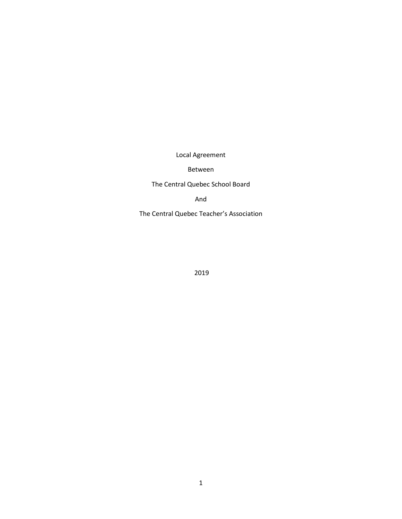Local Agreement

#### Between

## The Central Quebec School Board

And

The Central Quebec Teacher's Association

2019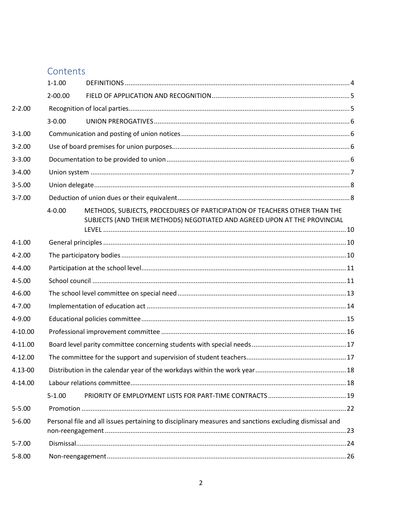| Contents |  |
|----------|--|

|             | $1 - 1.00$  |                                                                                                                                                        |  |
|-------------|-------------|--------------------------------------------------------------------------------------------------------------------------------------------------------|--|
|             | $2 - 00.00$ |                                                                                                                                                        |  |
| $2 - 2.00$  |             |                                                                                                                                                        |  |
|             | $3 - 0.00$  |                                                                                                                                                        |  |
| $3 - 1.00$  |             |                                                                                                                                                        |  |
| $3 - 2.00$  |             |                                                                                                                                                        |  |
| $3 - 3.00$  |             |                                                                                                                                                        |  |
| $3 - 4.00$  |             |                                                                                                                                                        |  |
| $3 - 5.00$  |             |                                                                                                                                                        |  |
| $3 - 7.00$  |             |                                                                                                                                                        |  |
|             | $4 - 0.00$  | METHODS, SUBJECTS, PROCEDURES OF PARTICIPATION OF TEACHERS OTHER THAN THE<br>SUBJECTS (AND THEIR METHODS) NEGOTIATED AND AGREED UPON AT THE PROVINCIAL |  |
| $4 - 1.00$  |             |                                                                                                                                                        |  |
| $4 - 2.00$  |             |                                                                                                                                                        |  |
| $4 - 4.00$  |             |                                                                                                                                                        |  |
| $4 - 5.00$  |             |                                                                                                                                                        |  |
| $4 - 6.00$  |             |                                                                                                                                                        |  |
| $4 - 7.00$  |             |                                                                                                                                                        |  |
| 4-9.00      |             |                                                                                                                                                        |  |
| 4-10.00     |             |                                                                                                                                                        |  |
| 4-11.00     |             |                                                                                                                                                        |  |
| $4 - 12.00$ |             |                                                                                                                                                        |  |
| 4.13-00     |             |                                                                                                                                                        |  |
| 4-14.00     |             |                                                                                                                                                        |  |
|             | $5 - 1.00$  |                                                                                                                                                        |  |
| $5 - 5.00$  |             |                                                                                                                                                        |  |
| $5 - 6.00$  |             | Personal file and all issues pertaining to disciplinary measures and sanctions excluding dismissal and                                                 |  |
| $5 - 7.00$  |             |                                                                                                                                                        |  |
| $5 - 8.00$  |             |                                                                                                                                                        |  |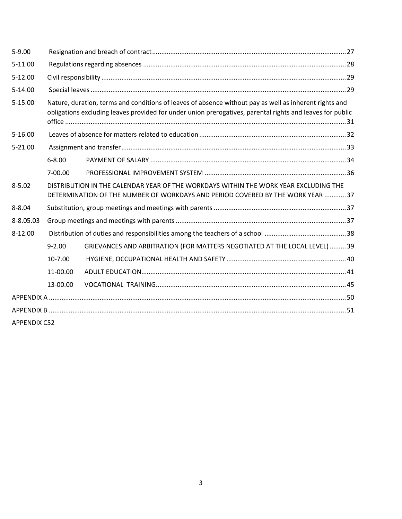| $5 - 9.00$          |            |                                                                                                                                                                                                                     |  |
|---------------------|------------|---------------------------------------------------------------------------------------------------------------------------------------------------------------------------------------------------------------------|--|
| 5-11.00             |            |                                                                                                                                                                                                                     |  |
| $5-12.00$           |            |                                                                                                                                                                                                                     |  |
| 5-14.00             |            |                                                                                                                                                                                                                     |  |
| 5-15.00             |            | Nature, duration, terms and conditions of leaves of absence without pay as well as inherent rights and<br>obligations excluding leaves provided for under union prerogatives, parental rights and leaves for public |  |
| $5 - 16.00$         |            |                                                                                                                                                                                                                     |  |
| $5 - 21.00$         |            |                                                                                                                                                                                                                     |  |
|                     | $6 - 8.00$ |                                                                                                                                                                                                                     |  |
|                     | 7-00.00    |                                                                                                                                                                                                                     |  |
| $8 - 5.02$          |            | DISTRIBUTION IN THE CALENDAR YEAR OF THE WORKDAYS WITHIN THE WORK YEAR EXCLUDING THE<br>DETERMINATION OF THE NUMBER OF WORKDAYS AND PERIOD COVERED BY THE WORK YEAR  37                                             |  |
| $8 - 8.04$          |            |                                                                                                                                                                                                                     |  |
| 8-8.05.03           |            |                                                                                                                                                                                                                     |  |
| $8 - 12.00$         |            |                                                                                                                                                                                                                     |  |
|                     | $9 - 2.00$ | GRIEVANCES AND ARBITRATION (FOR MATTERS NEGOTIATED AT THE LOCAL LEVEL)  39                                                                                                                                          |  |
|                     | 10-7.00    |                                                                                                                                                                                                                     |  |
|                     | 11-00.00   |                                                                                                                                                                                                                     |  |
|                     | 13-00.00   |                                                                                                                                                                                                                     |  |
|                     |            |                                                                                                                                                                                                                     |  |
|                     |            |                                                                                                                                                                                                                     |  |
| <b>APPENDIX C52</b> |            |                                                                                                                                                                                                                     |  |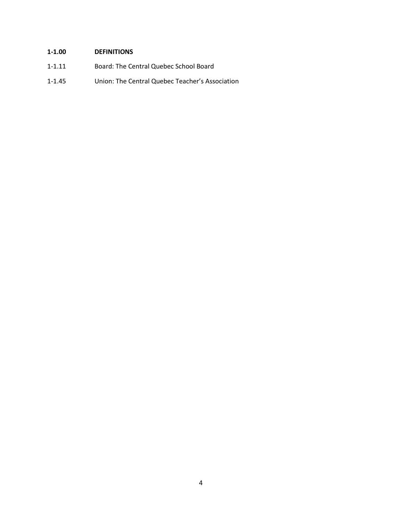# <span id="page-3-0"></span>**1-1.00 DEFINITIONS**

- 1-1.11 Board: The Central Quebec School Board
- 1-1.45 Union: The Central Quebec Teacher's Association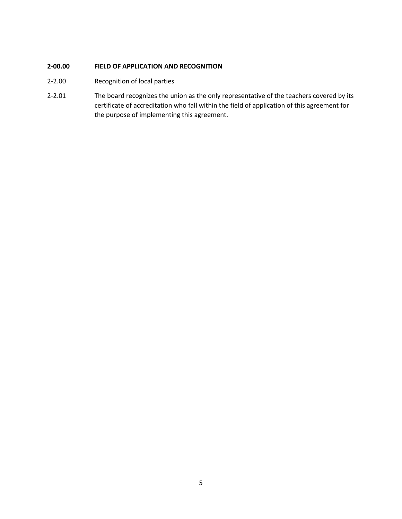## <span id="page-4-0"></span>**2-00.00 FIELD OF APPLICATION AND RECOGNITION**

- <span id="page-4-1"></span>2-2.00 Recognition of local parties
- 2-2.01 The board recognizes the union as the only representative of the teachers covered by its certificate of accreditation who fall within the field of application of this agreement for the purpose of implementing this agreement.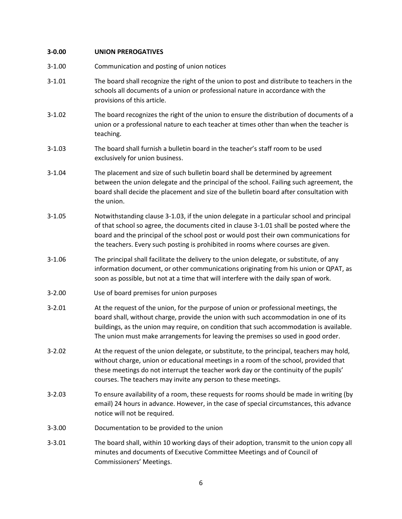## <span id="page-5-0"></span>**3-0.00 UNION PREROGATIVES**

<span id="page-5-3"></span><span id="page-5-2"></span><span id="page-5-1"></span>

| $3 - 1.00$ | Communication and posting of union notices                                                                                                                                                                                                                                                                                                                        |
|------------|-------------------------------------------------------------------------------------------------------------------------------------------------------------------------------------------------------------------------------------------------------------------------------------------------------------------------------------------------------------------|
| $3 - 1.01$ | The board shall recognize the right of the union to post and distribute to teachers in the<br>schools all documents of a union or professional nature in accordance with the<br>provisions of this article.                                                                                                                                                       |
| $3 - 1.02$ | The board recognizes the right of the union to ensure the distribution of documents of a<br>union or a professional nature to each teacher at times other than when the teacher is<br>teaching.                                                                                                                                                                   |
| $3 - 1.03$ | The board shall furnish a bulletin board in the teacher's staff room to be used<br>exclusively for union business.                                                                                                                                                                                                                                                |
| $3 - 1.04$ | The placement and size of such bulletin board shall be determined by agreement<br>between the union delegate and the principal of the school. Failing such agreement, the<br>board shall decide the placement and size of the bulletin board after consultation with<br>the union.                                                                                |
| $3 - 1.05$ | Notwithstanding clause 3-1.03, if the union delegate in a particular school and principal<br>of that school so agree, the documents cited in clause 3-1.01 shall be posted where the<br>board and the principal of the school post or would post their own communications for<br>the teachers. Every such posting is prohibited in rooms where courses are given. |
| $3 - 1.06$ | The principal shall facilitate the delivery to the union delegate, or substitute, of any<br>information document, or other communications originating from his union or QPAT, as<br>soon as possible, but not at a time that will interfere with the daily span of work.                                                                                          |
| $3 - 2.00$ | Use of board premises for union purposes                                                                                                                                                                                                                                                                                                                          |
| $3 - 2.01$ | At the request of the union, for the purpose of union or professional meetings, the<br>board shall, without charge, provide the union with such accommodation in one of its<br>buildings, as the union may require, on condition that such accommodation is available.<br>The union must make arrangements for leaving the premises so used in good order.        |
| $3 - 2.02$ | At the request of the union delegate, or substitute, to the principal, teachers may hold,<br>without charge, union or educational meetings in a room of the school, provided that<br>these meetings do not interrupt the teacher work day or the continuity of the pupils'<br>courses. The teachers may invite any person to these meetings.                      |
| $3 - 2.03$ | To ensure availability of a room, these requests for rooms should be made in writing (by<br>email) 24 hours in advance. However, in the case of special circumstances, this advance<br>notice will not be required.                                                                                                                                               |
| $3 - 3.00$ | Documentation to be provided to the union                                                                                                                                                                                                                                                                                                                         |
| $3 - 3.01$ | The board shall, within 10 working days of their adoption, transmit to the union copy all<br>minutes and documents of Executive Committee Meetings and of Council of<br>Commissioners' Meetings.                                                                                                                                                                  |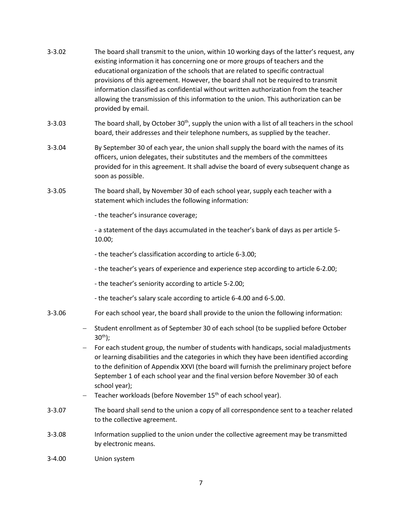- 3-3.02 The board shall transmit to the union, within 10 working days of the latter's request, any existing information it has concerning one or more groups of teachers and the educational organization of the schools that are related to specific contractual provisions of this agreement. However, the board shall not be required to transmit information classified as confidential without written authorization from the teacher allowing the transmission of this information to the union. This authorization can be provided by email.
- 3-3.03 The board shall, by October  $30<sup>th</sup>$ , supply the union with a list of all teachers in the school board, their addresses and their telephone numbers, as supplied by the teacher.
- 3-3.04 By September 30 of each year, the union shall supply the board with the names of its officers, union delegates, their substitutes and the members of the committees provided for in this agreement. It shall advise the board of every subsequent change as soon as possible.
- 3-3.05 The board shall, by November 30 of each school year, supply each teacher with a statement which includes the following information:
	- the teacher's insurance coverage;

- a statement of the days accumulated in the teacher's bank of days as per article 5- 10.00;

- the teacher's classification according to article 6-3.00;
- the teacher's years of experience and experience step according to article 6-2.00;
- the teacher's seniority according to article 5-2.00;
- the teacher's salary scale according to article 6-4.00 and 6-5.00.
- 3-3.06 For each school year, the board shall provide to the union the following information:
	- Student enrollment as of September 30 of each school (to be supplied before October  $30<sup>th</sup>$ ;
	- − For each student group, the number of students with handicaps, social maladjustments or learning disabilities and the categories in which they have been identified according to the definition of Appendix XXVI (the board will furnish the preliminary project before September 1 of each school year and the final version before November 30 of each school year);
	- − Teacher workloads (before November 15<sup>th</sup> of each school year).
- 3-3.07 The board shall send to the union a copy of all correspondence sent to a teacher related to the collective agreement.
- 3-3.08 Information supplied to the union under the collective agreement may be transmitted by electronic means.
- <span id="page-6-0"></span>3-4.00 Union system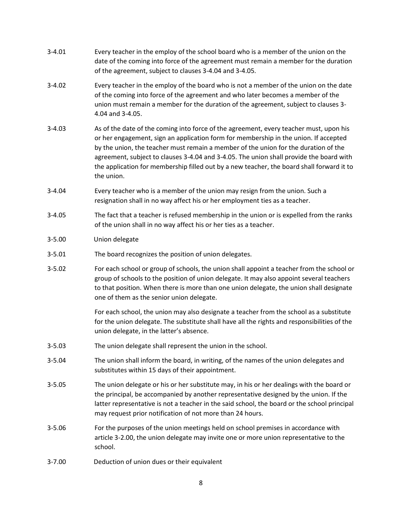- 3-4.01 Every teacher in the employ of the school board who is a member of the union on the date of the coming into force of the agreement must remain a member for the duration of the agreement, subject to clauses 3-4.04 and 3-4.05.
- 3-4.02 Every teacher in the employ of the board who is not a member of the union on the date of the coming into force of the agreement and who later becomes a member of the union must remain a member for the duration of the agreement, subject to clauses 3- 4.04 and 3-4.05.
- 3-4.03 As of the date of the coming into force of the agreement, every teacher must, upon his or her engagement, sign an application form for membership in the union. If accepted by the union, the teacher must remain a member of the union for the duration of the agreement, subject to clauses 3-4.04 and 3-4.05. The union shall provide the board with the application for membership filled out by a new teacher, the board shall forward it to the union.
- 3-4.04 Every teacher who is a member of the union may resign from the union. Such a resignation shall in no way affect his or her employment ties as a teacher.
- 3-4.05 The fact that a teacher is refused membership in the union or is expelled from the ranks of the union shall in no way affect his or her ties as a teacher.
- <span id="page-7-0"></span>3-5.00 Union delegate
- 3-5.01 The board recognizes the position of union delegates.
- 3-5.02 For each school or group of schools, the union shall appoint a teacher from the school or group of schools to the position of union delegate. It may also appoint several teachers to that position. When there is more than one union delegate, the union shall designate one of them as the senior union delegate.

For each school, the union may also designate a teacher from the school as a substitute for the union delegate. The substitute shall have all the rights and responsibilities of the union delegate, in the latter's absence.

- 3-5.03 The union delegate shall represent the union in the school.
- 3-5.04 The union shall inform the board, in writing, of the names of the union delegates and substitutes within 15 days of their appointment.
- 3-5.05 The union delegate or his or her substitute may, in his or her dealings with the board or the principal, be accompanied by another representative designed by the union. If the latter representative is not a teacher in the said school, the board or the school principal may request prior notification of not more than 24 hours.
- 3-5.06 For the purposes of the union meetings held on school premises in accordance with article 3-2.00, the union delegate may invite one or more union representative to the school.
- <span id="page-7-1"></span>3-7.00 Deduction of union dues or their equivalent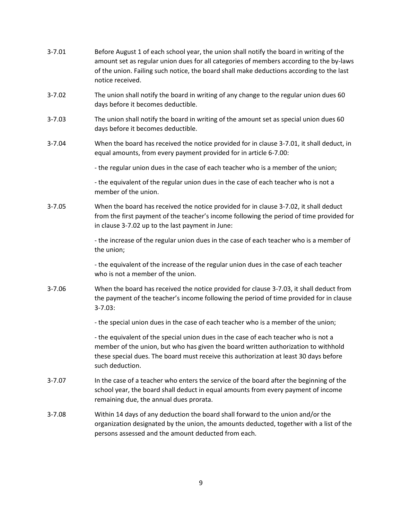| $3 - 7.01$ | Before August 1 of each school year, the union shall notify the board in writing of the<br>amount set as regular union dues for all categories of members according to the by-laws<br>of the union. Failing such notice, the board shall make deductions according to the last<br>notice received. |
|------------|----------------------------------------------------------------------------------------------------------------------------------------------------------------------------------------------------------------------------------------------------------------------------------------------------|
| $3 - 7.02$ | The union shall notify the board in writing of any change to the regular union dues 60<br>days before it becomes deductible.                                                                                                                                                                       |
| $3 - 7.03$ | The union shall notify the board in writing of the amount set as special union dues 60<br>days before it becomes deductible.                                                                                                                                                                       |
| $3 - 7.04$ | When the board has received the notice provided for in clause 3-7.01, it shall deduct, in<br>equal amounts, from every payment provided for in article 6-7.00:                                                                                                                                     |
|            | - the regular union dues in the case of each teacher who is a member of the union;                                                                                                                                                                                                                 |
|            | - the equivalent of the regular union dues in the case of each teacher who is not a<br>member of the union.                                                                                                                                                                                        |
| $3 - 7.05$ | When the board has received the notice provided for in clause 3-7.02, it shall deduct<br>from the first payment of the teacher's income following the period of time provided for<br>in clause 3-7.02 up to the last payment in June:                                                              |
|            | - the increase of the regular union dues in the case of each teacher who is a member of<br>the union;                                                                                                                                                                                              |
|            | - the equivalent of the increase of the regular union dues in the case of each teacher<br>who is not a member of the union.                                                                                                                                                                        |
| $3 - 7.06$ | When the board has received the notice provided for clause 3-7.03, it shall deduct from<br>the payment of the teacher's income following the period of time provided for in clause<br>$3 - 7.03$ :                                                                                                 |
|            | - the special union dues in the case of each teacher who is a member of the union;                                                                                                                                                                                                                 |
|            | - the equivalent of the special union dues in the case of each teacher who is not a<br>member of the union, but who has given the board written authorization to withhold<br>these special dues. The board must receive this authorization at least 30 days before<br>such deduction.              |
| $3 - 7.07$ | In the case of a teacher who enters the service of the board after the beginning of the<br>school year, the board shall deduct in equal amounts from every payment of income<br>remaining due, the annual dues prorata.                                                                            |
| $3 - 7.08$ | Within 14 days of any deduction the board shall forward to the union and/or the<br>organization designated by the union, the amounts deducted, together with a list of the<br>persons assessed and the amount deducted from each.                                                                  |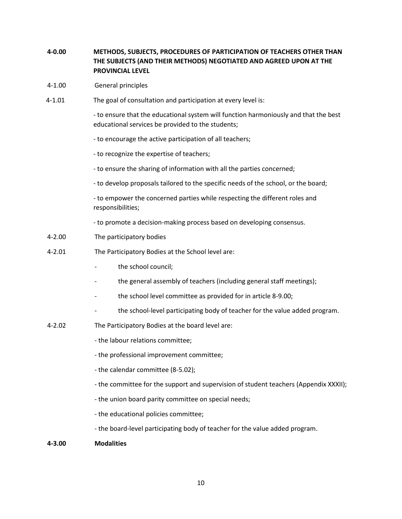## <span id="page-9-0"></span>**4-0.00 METHODS, SUBJECTS, PROCEDURES OF PARTICIPATION OF TEACHERS OTHER THAN THE SUBJECTS (AND THEIR METHODS) NEGOTIATED AND AGREED UPON AT THE PROVINCIAL LEVEL**

- <span id="page-9-1"></span>4-1.00 General principles
- 4-1.01 The goal of consultation and participation at every level is:

- to ensure that the educational system will function harmoniously and that the best educational services be provided to the students;

- to encourage the active participation of all teachers;
- to recognize the expertise of teachers;
- to ensure the sharing of information with all the parties concerned;
- to develop proposals tailored to the specific needs of the school, or the board;

- to empower the concerned parties while respecting the different roles and responsibilities;

- to promote a decision-making process based on developing consensus.
- <span id="page-9-2"></span>4-2.00 The participatory bodies
- 4-2.01 The Participatory Bodies at the School level are:
	- the school council;
	- the general assembly of teachers (including general staff meetings);
	- the school level committee as provided for in article 8-9.00;
	- the school-level participating body of teacher for the value added program.
- 4-2.02 The Participatory Bodies at the board level are:
	- the labour relations committee;
	- the professional improvement committee;
	- the calendar committee (8-5.02);
	- the committee for the support and supervision of student teachers (Appendix XXXII);
	- the union board parity committee on special needs;
	- the educational policies committee;
	- the board-level participating body of teacher for the value added program.
- **4-3.00 Modalities**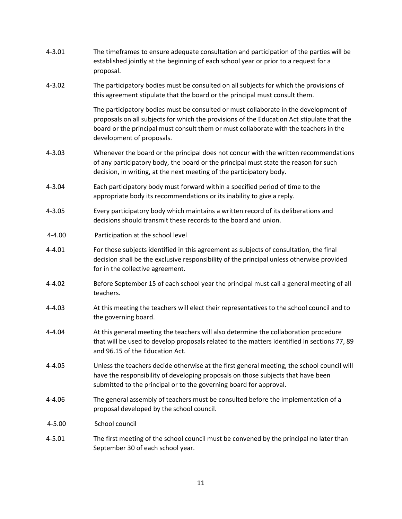<span id="page-10-1"></span><span id="page-10-0"></span>

| $4 - 3.01$ | The timeframes to ensure adequate consultation and participation of the parties will be<br>established jointly at the beginning of each school year or prior to a request for a<br>proposal.                                                                                                             |
|------------|----------------------------------------------------------------------------------------------------------------------------------------------------------------------------------------------------------------------------------------------------------------------------------------------------------|
| $4 - 3.02$ | The participatory bodies must be consulted on all subjects for which the provisions of<br>this agreement stipulate that the board or the principal must consult them.                                                                                                                                    |
|            | The participatory bodies must be consulted or must collaborate in the development of<br>proposals on all subjects for which the provisions of the Education Act stipulate that the<br>board or the principal must consult them or must collaborate with the teachers in the<br>development of proposals. |
| $4 - 3.03$ | Whenever the board or the principal does not concur with the written recommendations<br>of any participatory body, the board or the principal must state the reason for such<br>decision, in writing, at the next meeting of the participatory body.                                                     |
| 4-3.04     | Each participatory body must forward within a specified period of time to the<br>appropriate body its recommendations or its inability to give a reply.                                                                                                                                                  |
| $4 - 3.05$ | Every participatory body which maintains a written record of its deliberations and<br>decisions should transmit these records to the board and union.                                                                                                                                                    |
| $4 - 4.00$ | Participation at the school level                                                                                                                                                                                                                                                                        |
| $4 - 4.01$ | For those subjects identified in this agreement as subjects of consultation, the final<br>decision shall be the exclusive responsibility of the principal unless otherwise provided<br>for in the collective agreement.                                                                                  |
| $4 - 4.02$ | Before September 15 of each school year the principal must call a general meeting of all<br>teachers.                                                                                                                                                                                                    |
| $4 - 4.03$ | At this meeting the teachers will elect their representatives to the school council and to<br>the governing board.                                                                                                                                                                                       |
| $4 - 4.04$ | At this general meeting the teachers will also determine the collaboration procedure<br>that will be used to develop proposals related to the matters identified in sections 77, 89<br>and 96.15 of the Education Act.                                                                                   |
| $4 - 4.05$ | Unless the teachers decide otherwise at the first general meeting, the school council will<br>have the responsibility of developing proposals on those subjects that have been<br>submitted to the principal or to the governing board for approval.                                                     |
| 4-4.06     | The general assembly of teachers must be consulted before the implementation of a<br>proposal developed by the school council.                                                                                                                                                                           |
| $4 - 5.00$ | School council                                                                                                                                                                                                                                                                                           |
| $4 - 5.01$ | The first meeting of the school council must be convened by the principal no later than<br>September 30 of each school year.                                                                                                                                                                             |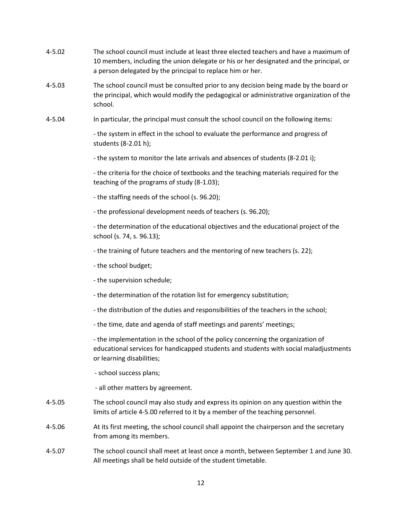- 4-5.02 The school council must include at least three elected teachers and have a maximum of 10 members, including the union delegate or his or her designated and the principal, or a person delegated by the principal to replace him or her.
- 4-5.03 The school council must be consulted prior to any decision being made by the board or the principal, which would modify the pedagogical or administrative organization of the school.
- 4-5.04 In particular, the principal must consult the school council on the following items:

- the system in effect in the school to evaluate the performance and progress of students (8-2.01 h);

- the system to monitor the late arrivals and absences of students (8-2.01 i);

- the criteria for the choice of textbooks and the teaching materials required for the teaching of the programs of study (8-1.03);

- the staffing needs of the school (s. 96.20);
- the professional development needs of teachers (s. 96.20);

- the determination of the educational objectives and the educational project of the school (s. 74, s. 96.13);

- the training of future teachers and the mentoring of new teachers (s. 22);
- the school budget;
- the supervision schedule;
- the determination of the rotation list for emergency substitution;
- the distribution of the duties and responsibilities of the teachers in the school;
- the time, date and agenda of staff meetings and parents' meetings;

- the implementation in the school of the policy concerning the organization of educational services for handicapped students and students with social maladjustments or learning disabilities;

- school success plans;
- all other matters by agreement.
- 4-5.05 The school council may also study and express its opinion on any question within the limits of article 4-5.00 referred to it by a member of the teaching personnel.
- 4-5.06 At its first meeting, the school council shall appoint the chairperson and the secretary from among its members.
- 4-5.07 The school council shall meet at least once a month, between September 1 and June 30. All meetings shall be held outside of the student timetable.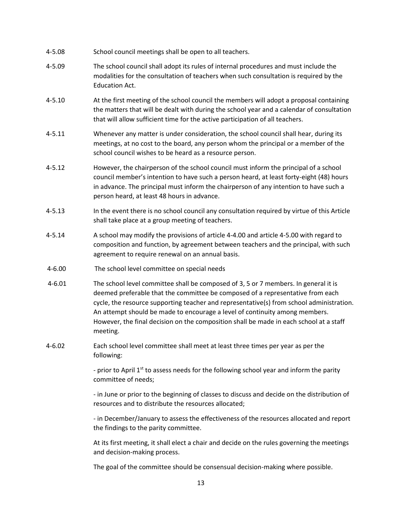- 4-5.08 School council meetings shall be open to all teachers.
- 4-5.09 The school council shall adopt its rules of internal procedures and must include the modalities for the consultation of teachers when such consultation is required by the Education Act.
- 4-5.10 At the first meeting of the school council the members will adopt a proposal containing the matters that will be dealt with during the school year and a calendar of consultation that will allow sufficient time for the active participation of all teachers.
- 4-5.11 Whenever any matter is under consideration, the school council shall hear, during its meetings, at no cost to the board, any person whom the principal or a member of the school council wishes to be heard as a resource person.
- 4-5.12 However, the chairperson of the school council must inform the principal of a school council member's intention to have such a person heard, at least forty-eight (48) hours in advance. The principal must inform the chairperson of any intention to have such a person heard, at least 48 hours in advance.
- 4-5.13 In the event there is no school council any consultation required by virtue of this Article shall take place at a group meeting of teachers.
- 4-5.14 A school may modify the provisions of article 4-4.00 and article 4-5.00 with regard to composition and function, by agreement between teachers and the principal, with such agreement to require renewal on an annual basis.
- <span id="page-12-0"></span>4-6.00 The school level committee on special needs
- 4-6.01 The school level committee shall be composed of 3, 5 or 7 members. In general it is deemed preferable that the committee be composed of a representative from each cycle, the resource supporting teacher and representative(s) from school administration. An attempt should be made to encourage a level of continuity among members. However, the final decision on the composition shall be made in each school at a staff meeting.
- 4-6.02 Each school level committee shall meet at least three times per year as per the following:

- prior to April  $1<sup>st</sup>$  to assess needs for the following school year and inform the parity committee of needs;

- in June or prior to the beginning of classes to discuss and decide on the distribution of resources and to distribute the resources allocated;

- in December/January to assess the effectiveness of the resources allocated and report the findings to the parity committee.

At its first meeting, it shall elect a chair and decide on the rules governing the meetings and decision-making process.

The goal of the committee should be consensual decision-making where possible.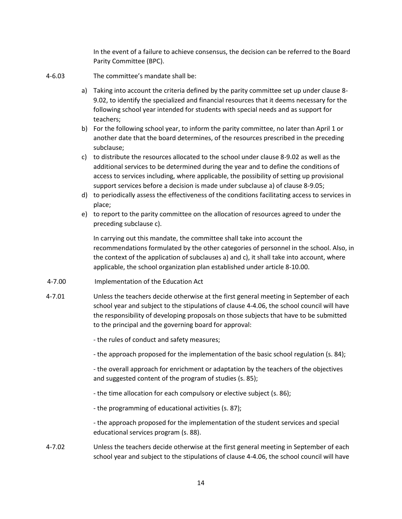In the event of a failure to achieve consensus, the decision can be referred to the Board Parity Committee (BPC).

- 4-6.03 The committee's mandate shall be:
	- a) Taking into account the criteria defined by the parity committee set up under clause 8- 9.02, to identify the specialized and financial resources that it deems necessary for the following school year intended for students with special needs and as support for teachers;
	- b) For the following school year, to inform the parity committee, no later than April 1 or another date that the board determines, of the resources prescribed in the preceding subclause;
	- c) to distribute the resources allocated to the school under clause 8-9.02 as well as the additional services to be determined during the year and to define the conditions of access to services including, where applicable, the possibility of setting up provisional support services before a decision is made under subclause a) of clause 8-9.05;
	- d) to periodically assess the effectiveness of the conditions facilitating access to services in place;
	- e) to report to the parity committee on the allocation of resources agreed to under the preceding subclause c).

In carrying out this mandate, the committee shall take into account the recommendations formulated by the other categories of personnel in the school. Also, in the context of the application of subclauses a) and c), it shall take into account, where applicable, the school organization plan established under article 8-10.00.

- <span id="page-13-0"></span>4-7.00 Implementation of the Education Act
- 4-7.01 Unless the teachers decide otherwise at the first general meeting in September of each school year and subject to the stipulations of clause 4-4.06, the school council will have the responsibility of developing proposals on those subjects that have to be submitted to the principal and the governing board for approval:

- the rules of conduct and safety measures;

- the approach proposed for the implementation of the basic school regulation (s. 84);

- the overall approach for enrichment or adaptation by the teachers of the objectives and suggested content of the program of studies (s. 85);

- the time allocation for each compulsory or elective subject (s. 86);
- the programming of educational activities (s. 87);

- the approach proposed for the implementation of the student services and special educational services program (s. 88).

4-7.02 Unless the teachers decide otherwise at the first general meeting in September of each school year and subject to the stipulations of clause 4-4.06, the school council will have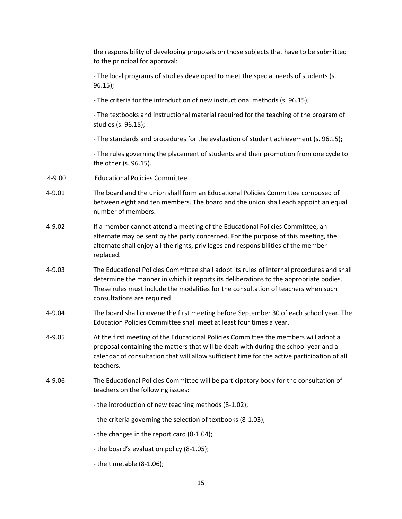<span id="page-14-0"></span>

|        | the responsibility of developing proposals on those subjects that have to be submitted<br>to the principal for approval:                                                                                                                                                                                |
|--------|---------------------------------------------------------------------------------------------------------------------------------------------------------------------------------------------------------------------------------------------------------------------------------------------------------|
|        | - The local programs of studies developed to meet the special needs of students (s.<br>$96.15$ );                                                                                                                                                                                                       |
|        | - The criteria for the introduction of new instructional methods (s. 96.15);                                                                                                                                                                                                                            |
|        | - The textbooks and instructional material required for the teaching of the program of<br>studies (s. 96.15);                                                                                                                                                                                           |
|        | - The standards and procedures for the evaluation of student achievement (s. 96.15);                                                                                                                                                                                                                    |
|        | - The rules governing the placement of students and their promotion from one cycle to<br>the other (s. 96.15).                                                                                                                                                                                          |
| 4-9.00 | <b>Educational Policies Committee</b>                                                                                                                                                                                                                                                                   |
| 4-9.01 | The board and the union shall form an Educational Policies Committee composed of<br>between eight and ten members. The board and the union shall each appoint an equal<br>number of members.                                                                                                            |
| 4-9.02 | If a member cannot attend a meeting of the Educational Policies Committee, an<br>alternate may be sent by the party concerned. For the purpose of this meeting, the<br>alternate shall enjoy all the rights, privileges and responsibilities of the member<br>replaced.                                 |
| 4-9.03 | The Educational Policies Committee shall adopt its rules of internal procedures and shall<br>determine the manner in which it reports its deliberations to the appropriate bodies.<br>These rules must include the modalities for the consultation of teachers when such<br>consultations are required. |
| 4-9.04 | The board shall convene the first meeting before September 30 of each school year. The<br>Education Policies Committee shall meet at least four times a year.                                                                                                                                           |
| 4-9.05 | At the first meeting of the Educational Policies Committee the members will adopt a<br>proposal containing the matters that will be dealt with during the school year and a<br>calendar of consultation that will allow sufficient time for the active participation of all<br>teachers.                |
| 4-9.06 | The Educational Policies Committee will be participatory body for the consultation of<br>teachers on the following issues:                                                                                                                                                                              |
|        | - the introduction of new teaching methods (8-1.02);                                                                                                                                                                                                                                                    |
|        | - the criteria governing the selection of textbooks (8-1.03);                                                                                                                                                                                                                                           |
|        | - the changes in the report card (8-1.04);                                                                                                                                                                                                                                                              |
|        | - the board's evaluation policy (8-1.05);                                                                                                                                                                                                                                                               |
|        | - the timetable (8-1.06);                                                                                                                                                                                                                                                                               |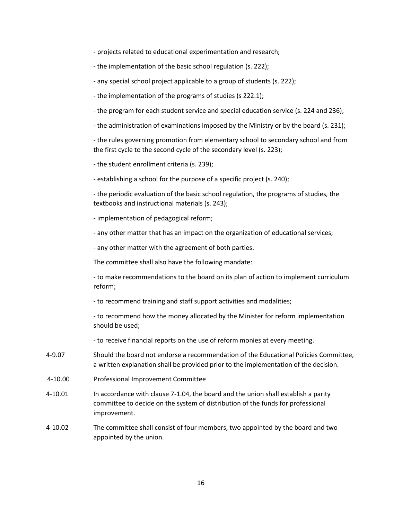- projects related to educational experimentation and research;
- the implementation of the basic school regulation (s. 222);
- any special school project applicable to a group of students (s. 222);
- the implementation of the programs of studies (s 222.1);
- the program for each student service and special education service (s. 224 and 236);
- the administration of examinations imposed by the Ministry or by the board (s. 231);

- the rules governing promotion from elementary school to secondary school and from the first cycle to the second cycle of the secondary level (s. 223);

- the student enrollment criteria (s. 239);

- establishing a school for the purpose of a specific project (s. 240);

- the periodic evaluation of the basic school regulation, the programs of studies, the textbooks and instructional materials (s. 243);

- implementation of pedagogical reform;
- any other matter that has an impact on the organization of educational services;

- any other matter with the agreement of both parties.

The committee shall also have the following mandate:

- to make recommendations to the board on its plan of action to implement curriculum reform;

- to recommend training and staff support activities and modalities;

- to recommend how the money allocated by the Minister for reform implementation should be used;

- to receive financial reports on the use of reform monies at every meeting.
- 4-9.07 Should the board not endorse a recommendation of the Educational Policies Committee, a written explanation shall be provided prior to the implementation of the decision.
- <span id="page-15-0"></span>4-10.00 Professional Improvement Committee
- 4-10.01 In accordance with clause 7-1.04, the board and the union shall establish a parity committee to decide on the system of distribution of the funds for professional improvement.
- 4-10.02 The committee shall consist of four members, two appointed by the board and two appointed by the union.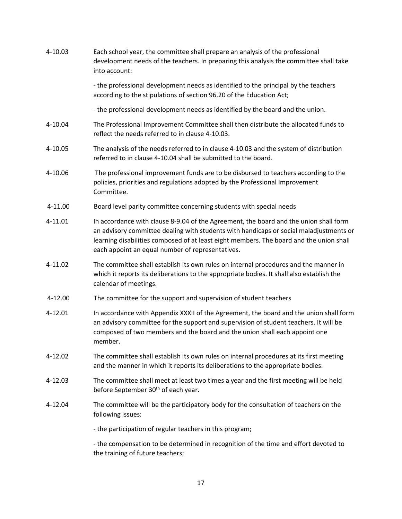<span id="page-16-1"></span><span id="page-16-0"></span>

| 4-10.03 | Each school year, the committee shall prepare an analysis of the professional<br>development needs of the teachers. In preparing this analysis the committee shall take<br>into account:                                                                                                                                       |
|---------|--------------------------------------------------------------------------------------------------------------------------------------------------------------------------------------------------------------------------------------------------------------------------------------------------------------------------------|
|         | - the professional development needs as identified to the principal by the teachers<br>according to the stipulations of section 96.20 of the Education Act;                                                                                                                                                                    |
|         | - the professional development needs as identified by the board and the union.                                                                                                                                                                                                                                                 |
| 4-10.04 | The Professional Improvement Committee shall then distribute the allocated funds to<br>reflect the needs referred to in clause 4-10.03.                                                                                                                                                                                        |
| 4-10.05 | The analysis of the needs referred to in clause 4-10.03 and the system of distribution<br>referred to in clause 4-10.04 shall be submitted to the board.                                                                                                                                                                       |
| 4-10.06 | The professional improvement funds are to be disbursed to teachers according to the<br>policies, priorities and regulations adopted by the Professional Improvement<br>Committee.                                                                                                                                              |
| 4-11.00 | Board level parity committee concerning students with special needs                                                                                                                                                                                                                                                            |
| 4-11.01 | In accordance with clause 8-9.04 of the Agreement, the board and the union shall form<br>an advisory committee dealing with students with handicaps or social maladjustments or<br>learning disabilities composed of at least eight members. The board and the union shall<br>each appoint an equal number of representatives. |
| 4-11.02 | The committee shall establish its own rules on internal procedures and the manner in<br>which it reports its deliberations to the appropriate bodies. It shall also establish the<br>calendar of meetings.                                                                                                                     |
| 4-12.00 | The committee for the support and supervision of student teachers                                                                                                                                                                                                                                                              |
| 4-12.01 | In accordance with Appendix XXXII of the Agreement, the board and the union shall form<br>an advisory committee for the support and supervision of student teachers. It will be<br>composed of two members and the board and the union shall each appoint one<br>member.                                                       |
| 4-12.02 | The committee shall establish its own rules on internal procedures at its first meeting<br>and the manner in which it reports its deliberations to the appropriate bodies.                                                                                                                                                     |
| 4-12.03 | The committee shall meet at least two times a year and the first meeting will be held<br>before September 30 <sup>th</sup> of each year.                                                                                                                                                                                       |
| 4-12.04 | The committee will be the participatory body for the consultation of teachers on the<br>following issues:                                                                                                                                                                                                                      |
|         | - the participation of regular teachers in this program;                                                                                                                                                                                                                                                                       |
|         | - the compensation to be determined in recognition of the time and effort devoted to<br>the training of future teachers;                                                                                                                                                                                                       |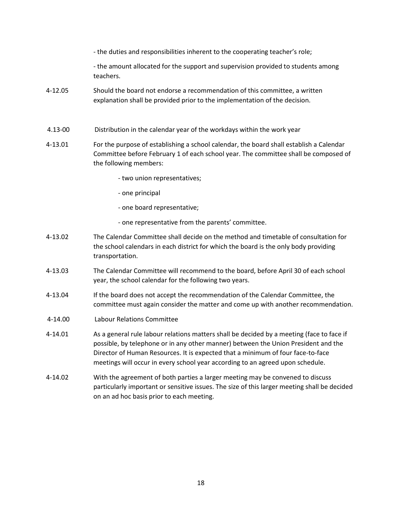- the duties and responsibilities inherent to the cooperating teacher's role;
- the amount allocated for the support and supervision provided to students among teachers.
- 4-12.05 Should the board not endorse a recommendation of this committee, a written explanation shall be provided prior to the implementation of the decision.
- <span id="page-17-0"></span>4.13-00 Distribution in the calendar year of the workdays within the work year
- 4-13.01 For the purpose of establishing a school calendar, the board shall establish a Calendar Committee before February 1 of each school year. The committee shall be composed of the following members:
	- two union representatives;
	- one principal
	- one board representative;
	- one representative from the parents' committee.
- 4-13.02 The Calendar Committee shall decide on the method and timetable of consultation for the school calendars in each district for which the board is the only body providing transportation.
- 4-13.03 The Calendar Committee will recommend to the board, before April 30 of each school year, the school calendar for the following two years.
- 4-13.04 If the board does not accept the recommendation of the Calendar Committee, the committee must again consider the matter and come up with another recommendation.
- <span id="page-17-1"></span>4-14.00 Labour Relations Committee
- 4-14.01 As a general rule labour relations matters shall be decided by a meeting (face to face if possible, by telephone or in any other manner) between the Union President and the Director of Human Resources. It is expected that a minimum of four face-to-face meetings will occur in every school year according to an agreed upon schedule.
- 4-14.02 With the agreement of both parties a larger meeting may be convened to discuss particularly important or sensitive issues. The size of this larger meeting shall be decided on an ad hoc basis prior to each meeting.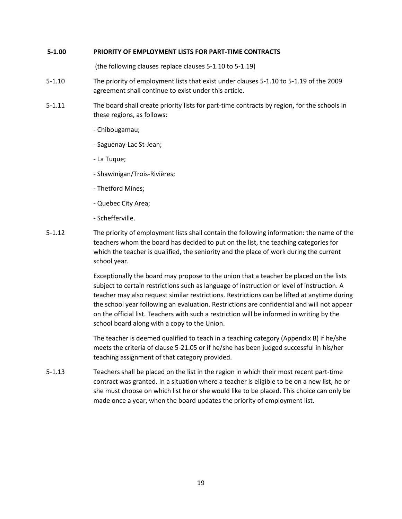### <span id="page-18-0"></span>**5-1.00 PRIORITY OF EMPLOYMENT LISTS FOR PART-TIME CONTRACTS**

(the following clauses replace clauses 5-1.10 to 5-1.19)

- 5-1.10 The priority of employment lists that exist under clauses 5-1.10 to 5-1.19 of the 2009 agreement shall continue to exist under this article.
- 5-1.11 The board shall create priority lists for part-time contracts by region, for the schools in these regions, as follows:
	- Chibougamau;
	- Saguenay-Lac St-Jean;
	- La Tuque;
	- Shawinigan/Trois-Rivières;
	- Thetford Mines;
	- Quebec City Area;
	- Schefferville.
- 5-1.12 The priority of employment lists shall contain the following information: the name of the teachers whom the board has decided to put on the list, the teaching categories for which the teacher is qualified, the seniority and the place of work during the current school year.

Exceptionally the board may propose to the union that a teacher be placed on the lists subject to certain restrictions such as language of instruction or level of instruction. A teacher may also request similar restrictions. Restrictions can be lifted at anytime during the school year following an evaluation. Restrictions are confidential and will not appear on the official list. Teachers with such a restriction will be informed in writing by the school board along with a copy to the Union.

The teacher is deemed qualified to teach in a teaching category (Appendix B) if he/she meets the criteria of clause 5-21.05 or if he/she has been judged successful in his/her teaching assignment of that category provided.

5-1.13 Teachers shall be placed on the list in the region in which their most recent part-time contract was granted. In a situation where a teacher is eligible to be on a new list, he or she must choose on which list he or she would like to be placed. This choice can only be made once a year, when the board updates the priority of employment list.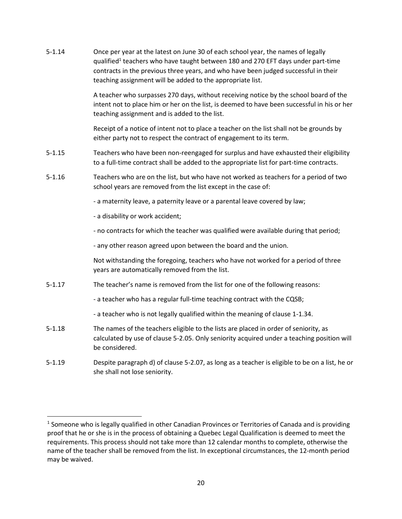| $5 - 1.14$ | Once per year at the latest on June 30 of each school year, the names of legally<br>qualified <sup>1</sup> teachers who have taught between 180 and 270 EFT days under part-time<br>contracts in the previous three years, and who have been judged successful in their<br>teaching assignment will be added to the appropriate list. |
|------------|---------------------------------------------------------------------------------------------------------------------------------------------------------------------------------------------------------------------------------------------------------------------------------------------------------------------------------------|
|            | A teacher who surpasses 270 days, without receiving notice by the school board of the<br>intent not to place him or her on the list, is deemed to have been successful in his or her<br>teaching assignment and is added to the list.                                                                                                 |
|            | Receipt of a notice of intent not to place a teacher on the list shall not be grounds by<br>either party not to respect the contract of engagement to its term.                                                                                                                                                                       |
| $5 - 1.15$ | Teachers who have been non-reengaged for surplus and have exhausted their eligibility<br>to a full-time contract shall be added to the appropriate list for part-time contracts.                                                                                                                                                      |
| $5 - 1.16$ | Teachers who are on the list, but who have not worked as teachers for a period of two<br>school years are removed from the list except in the case of:                                                                                                                                                                                |
|            | - a maternity leave, a paternity leave or a parental leave covered by law;                                                                                                                                                                                                                                                            |
|            | - a disability or work accident;                                                                                                                                                                                                                                                                                                      |
|            | - no contracts for which the teacher was qualified were available during that period;                                                                                                                                                                                                                                                 |
|            | - any other reason agreed upon between the board and the union.                                                                                                                                                                                                                                                                       |
|            | Not withstanding the foregoing, teachers who have not worked for a period of three<br>years are automatically removed from the list.                                                                                                                                                                                                  |
| $5 - 1.17$ | The teacher's name is removed from the list for one of the following reasons:                                                                                                                                                                                                                                                         |
|            | - a teacher who has a regular full-time teaching contract with the CQSB;                                                                                                                                                                                                                                                              |
|            | - a teacher who is not legally qualified within the meaning of clause 1-1.34.                                                                                                                                                                                                                                                         |
| $5 - 1.18$ | The names of the teachers eligible to the lists are placed in order of seniority, as<br>calculated by use of clause 5-2.05. Only seniority acquired under a teaching position will<br>be considered.                                                                                                                                  |
| $5 - 1.19$ | Despite paragraph d) of clause 5-2.07, as long as a teacher is eligible to be on a list, he or<br>she shall not lose seniority.                                                                                                                                                                                                       |

<sup>&</sup>lt;sup>1</sup> Someone who is legally qualified in other Canadian Provinces or Territories of Canada and is providing proof that he or she is in the process of obtaining a Quebec Legal Qualification is deemed to meet the requirements. This process should not take more than 12 calendar months to complete, otherwise the name of the teacher shall be removed from the list. In exceptional circumstances, the 12-month period may be waived.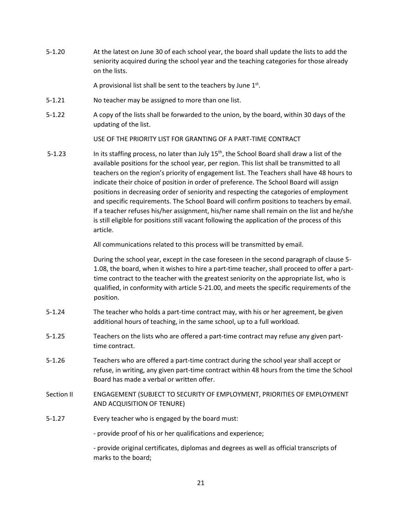5-1.20 At the latest on June 30 of each school year, the board shall update the lists to add the seniority acquired during the school year and the teaching categories for those already on the lists.

A provisional list shall be sent to the teachers by June  $1<sup>st</sup>$ .

- 5-1.21 No teacher may be assigned to more than one list.
- 5-1.22 A copy of the lists shall be forwarded to the union, by the board, within 30 days of the updating of the list.

USE OF THE PRIORITY LIST FOR GRANTING OF A PART-TIME CONTRACT

5-1.23 In its staffing process, no later than July 15<sup>th</sup>, the School Board shall draw a list of the available positions for the school year, per region. This list shall be transmitted to all teachers on the region's priority of engagement list. The Teachers shall have 48 hours to indicate their choice of position in order of preference. The School Board will assign positions in decreasing order of seniority and respecting the categories of employment and specific requirements. The School Board will confirm positions to teachers by email. If a teacher refuses his/her assignment, his/her name shall remain on the list and he/she is still eligible for positions still vacant following the application of the process of this article.

All communications related to this process will be transmitted by email.

During the school year, except in the case foreseen in the second paragraph of clause 5- 1.08, the board, when it wishes to hire a part-time teacher, shall proceed to offer a parttime contract to the teacher with the greatest seniority on the appropriate list, who is qualified, in conformity with article 5-21.00, and meets the specific requirements of the position.

- 5-1.24 The teacher who holds a part-time contract may, with his or her agreement, be given additional hours of teaching, in the same school, up to a full workload.
- 5-1.25 Teachers on the lists who are offered a part-time contract may refuse any given parttime contract.
- 5-1.26 Teachers who are offered a part-time contract during the school year shall accept or refuse, in writing, any given part-time contract within 48 hours from the time the School Board has made a verbal or written offer.
- Section II ENGAGEMENT (SUBJECT TO SECURITY OF EMPLOYMENT, PRIORITIES OF EMPLOYMENT AND ACQUISITION OF TENURE)
- 5-1.27 Every teacher who is engaged by the board must:

- provide proof of his or her qualifications and experience;

- provide original certificates, diplomas and degrees as well as official transcripts of marks to the board;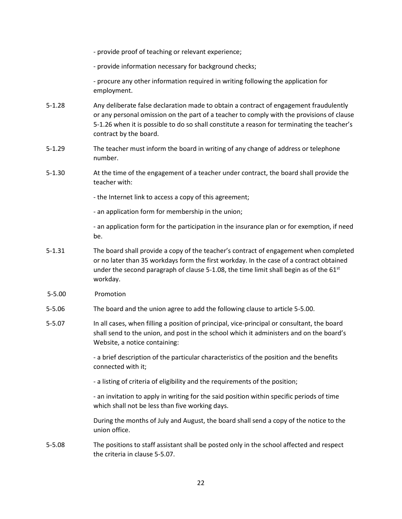- provide proof of teaching or relevant experience;

- provide information necessary for background checks;

- procure any other information required in writing following the application for employment.

- 5-1.28 Any deliberate false declaration made to obtain a contract of engagement fraudulently or any personal omission on the part of a teacher to comply with the provisions of clause 5-1.26 when it is possible to do so shall constitute a reason for terminating the teacher's contract by the board.
- 5-1.29 The teacher must inform the board in writing of any change of address or telephone number.
- 5-1.30 At the time of the engagement of a teacher under contract, the board shall provide the teacher with:

- the Internet link to access a copy of this agreement;

- an application form for membership in the union;

- an application form for the participation in the insurance plan or for exemption, if need be.

- 5-1.31 The board shall provide a copy of the teacher's contract of engagement when completed or no later than 35 workdays form the first workday. In the case of a contract obtained under the second paragraph of clause 5-1.08, the time limit shall begin as of the 61<sup>st</sup> workday.
- <span id="page-21-0"></span>5-5.00 Promotion
- 5-5.06 The board and the union agree to add the following clause to article 5-5.00.
- 5-5.07 In all cases, when filling a position of principal, vice-principal or consultant, the board shall send to the union, and post in the school which it administers and on the board's Website, a notice containing:

- a brief description of the particular characteristics of the position and the benefits connected with it;

- a listing of criteria of eligibility and the requirements of the position;

- an invitation to apply in writing for the said position within specific periods of time which shall not be less than five working days.

During the months of July and August, the board shall send a copy of the notice to the union office.

5-5.08 The positions to staff assistant shall be posted only in the school affected and respect the criteria in clause 5-5.07.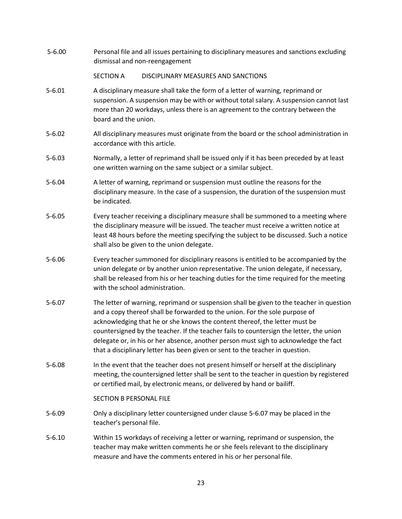<span id="page-22-0"></span>

| $5 - 6.00$ | Personal file and all issues pertaining to disciplinary measures and sanctions excluding<br>dismissal and non-reengagement                                                                                                                                                                                                                                                                                                                                                                                                |
|------------|---------------------------------------------------------------------------------------------------------------------------------------------------------------------------------------------------------------------------------------------------------------------------------------------------------------------------------------------------------------------------------------------------------------------------------------------------------------------------------------------------------------------------|
|            | <b>SECTION A</b><br>DISCIPLINARY MEASURES AND SANCTIONS                                                                                                                                                                                                                                                                                                                                                                                                                                                                   |
| $5 - 6.01$ | A disciplinary measure shall take the form of a letter of warning, reprimand or<br>suspension. A suspension may be with or without total salary. A suspension cannot last<br>more than 20 workdays, unless there is an agreement to the contrary between the<br>board and the union.                                                                                                                                                                                                                                      |
| $5 - 6.02$ | All disciplinary measures must originate from the board or the school administration in<br>accordance with this article.                                                                                                                                                                                                                                                                                                                                                                                                  |
| $5 - 6.03$ | Normally, a letter of reprimand shall be issued only if it has been preceded by at least<br>one written warning on the same subject or a similar subject.                                                                                                                                                                                                                                                                                                                                                                 |
| $5 - 6.04$ | A letter of warning, reprimand or suspension must outline the reasons for the<br>disciplinary measure. In the case of a suspension, the duration of the suspension must<br>be indicated.                                                                                                                                                                                                                                                                                                                                  |
| $5 - 6.05$ | Every teacher receiving a disciplinary measure shall be summoned to a meeting where<br>the disciplinary measure will be issued. The teacher must receive a written notice at<br>least 48 hours before the meeting specifying the subject to be discussed. Such a notice<br>shall also be given to the union delegate.                                                                                                                                                                                                     |
| $5 - 6.06$ | Every teacher summoned for disciplinary reasons is entitled to be accompanied by the<br>union delegate or by another union representative. The union delegate, if necessary,<br>shall be released from his or her teaching duties for the time required for the meeting<br>with the school administration.                                                                                                                                                                                                                |
| $5 - 6.07$ | The letter of warning, reprimand or suspension shall be given to the teacher in question<br>and a copy thereof shall be forwarded to the union. For the sole purpose of<br>acknowledging that he or she knows the content thereof, the letter must be<br>countersigned by the teacher. If the teacher fails to countersign the letter, the union<br>delegate or, in his or her absence, another person must sigh to acknowledge the fact<br>that a disciplinary letter has been given or sent to the teacher in question. |
| $5 - 6.08$ | In the event that the teacher does not present himself or herself at the disciplinary<br>meeting, the countersigned letter shall be sent to the teacher in question by registered<br>or certified mail, by electronic means, or delivered by hand or bailiff.                                                                                                                                                                                                                                                             |
|            | SECTION B PERSONAL FILE                                                                                                                                                                                                                                                                                                                                                                                                                                                                                                   |
| $5 - 6.09$ | Only a disciplinary letter countersigned under clause 5-6.07 may be placed in the<br>teacher's personal file.                                                                                                                                                                                                                                                                                                                                                                                                             |
| $5 - 6.10$ | Within 15 workdays of receiving a letter or warning, reprimand or suspension, the<br>teacher may make written comments he or she feels relevant to the disciplinary<br>measure and have the comments entered in his or her personal file.                                                                                                                                                                                                                                                                                 |
|            |                                                                                                                                                                                                                                                                                                                                                                                                                                                                                                                           |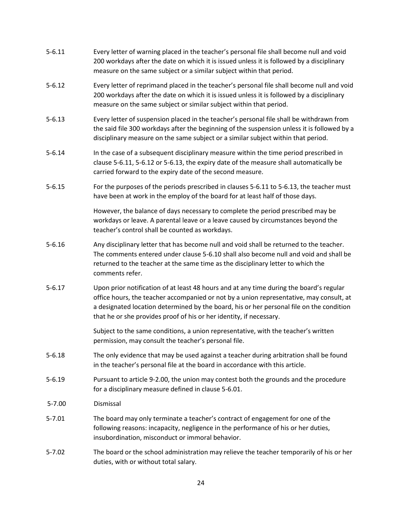<span id="page-23-0"></span>

| $5 - 6.11$ | Every letter of warning placed in the teacher's personal file shall become null and void<br>200 workdays after the date on which it is issued unless it is followed by a disciplinary<br>measure on the same subject or a similar subject within that period.                                                                                         |
|------------|-------------------------------------------------------------------------------------------------------------------------------------------------------------------------------------------------------------------------------------------------------------------------------------------------------------------------------------------------------|
| $5 - 6.12$ | Every letter of reprimand placed in the teacher's personal file shall become null and void<br>200 workdays after the date on which it is issued unless it is followed by a disciplinary<br>measure on the same subject or similar subject within that period.                                                                                         |
| $5 - 6.13$ | Every letter of suspension placed in the teacher's personal file shall be withdrawn from<br>the said file 300 workdays after the beginning of the suspension unless it is followed by a<br>disciplinary measure on the same subject or a similar subject within that period.                                                                          |
| $5 - 6.14$ | In the case of a subsequent disciplinary measure within the time period prescribed in<br>clause 5-6.11, 5-6.12 or 5-6.13, the expiry date of the measure shall automatically be<br>carried forward to the expiry date of the second measure.                                                                                                          |
| $5 - 6.15$ | For the purposes of the periods prescribed in clauses 5-6.11 to 5-6.13, the teacher must<br>have been at work in the employ of the board for at least half of those days.                                                                                                                                                                             |
|            | However, the balance of days necessary to complete the period prescribed may be<br>workdays or leave. A parental leave or a leave caused by circumstances beyond the<br>teacher's control shall be counted as workdays.                                                                                                                               |
| $5 - 6.16$ | Any disciplinary letter that has become null and void shall be returned to the teacher.<br>The comments entered under clause 5-6.10 shall also become null and void and shall be<br>returned to the teacher at the same time as the disciplinary letter to which the<br>comments refer.                                                               |
| $5 - 6.17$ | Upon prior notification of at least 48 hours and at any time during the board's regular<br>office hours, the teacher accompanied or not by a union representative, may consult, at<br>a designated location determined by the board, his or her personal file on the condition<br>that he or she provides proof of his or her identity, if necessary. |
|            | Subject to the same conditions, a union representative, with the teacher's written<br>permission, may consult the teacher's personal file.                                                                                                                                                                                                            |
| $5 - 6.18$ | The only evidence that may be used against a teacher during arbitration shall be found<br>in the teacher's personal file at the board in accordance with this article.                                                                                                                                                                                |
| $5 - 6.19$ | Pursuant to article 9-2.00, the union may contest both the grounds and the procedure<br>for a disciplinary measure defined in clause 5-6.01.                                                                                                                                                                                                          |
| $5 - 7.00$ | Dismissal                                                                                                                                                                                                                                                                                                                                             |
| $5 - 7.01$ | The board may only terminate a teacher's contract of engagement for one of the<br>following reasons: incapacity, negligence in the performance of his or her duties,<br>insubordination, misconduct or immoral behavior.                                                                                                                              |
| $5 - 7.02$ | The board or the school administration may relieve the teacher temporarily of his or her<br>duties, with or without total salary.                                                                                                                                                                                                                     |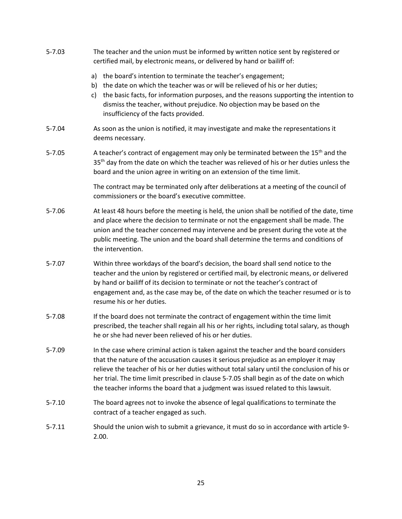| $5 - 7.03$ | The teacher and the union must be informed by written notice sent by registered or<br>certified mail, by electronic means, or delivered by hand or bailiff of:                                                                                                                                                                                                                                                                                                  |  |  |
|------------|-----------------------------------------------------------------------------------------------------------------------------------------------------------------------------------------------------------------------------------------------------------------------------------------------------------------------------------------------------------------------------------------------------------------------------------------------------------------|--|--|
|            | a) the board's intention to terminate the teacher's engagement;<br>b) the date on which the teacher was or will be relieved of his or her duties;<br>the basic facts, for information purposes, and the reasons supporting the intention to<br>C)<br>dismiss the teacher, without prejudice. No objection may be based on the<br>insufficiency of the facts provided.                                                                                           |  |  |
| 5-7.04     | As soon as the union is notified, it may investigate and make the representations it<br>deems necessary.                                                                                                                                                                                                                                                                                                                                                        |  |  |
| $5 - 7.05$ | A teacher's contract of engagement may only be terminated between the 15 <sup>th</sup> and the<br>35 <sup>th</sup> day from the date on which the teacher was relieved of his or her duties unless the<br>board and the union agree in writing on an extension of the time limit.                                                                                                                                                                               |  |  |
|            | The contract may be terminated only after deliberations at a meeting of the council of<br>commissioners or the board's executive committee.                                                                                                                                                                                                                                                                                                                     |  |  |
| $5 - 7.06$ | At least 48 hours before the meeting is held, the union shall be notified of the date, time<br>and place where the decision to terminate or not the engagement shall be made. The<br>union and the teacher concerned may intervene and be present during the vote at the<br>public meeting. The union and the board shall determine the terms and conditions of<br>the intervention.                                                                            |  |  |
| $5 - 7.07$ | Within three workdays of the board's decision, the board shall send notice to the<br>teacher and the union by registered or certified mail, by electronic means, or delivered<br>by hand or bailiff of its decision to terminate or not the teacher's contract of<br>engagement and, as the case may be, of the date on which the teacher resumed or is to<br>resume his or her duties.                                                                         |  |  |
| $5 - 7.08$ | If the board does not terminate the contract of engagement within the time limit<br>prescribed, the teacher shall regain all his or her rights, including total salary, as though<br>he or she had never been relieved of his or her duties.                                                                                                                                                                                                                    |  |  |
| $5 - 7.09$ | In the case where criminal action is taken against the teacher and the board considers<br>that the nature of the accusation causes it serious prejudice as an employer it may<br>relieve the teacher of his or her duties without total salary until the conclusion of his or<br>her trial. The time limit prescribed in clause 5-7.05 shall begin as of the date on which<br>the teacher informs the board that a judgment was issued related to this lawsuit. |  |  |
| $5 - 7.10$ | The board agrees not to invoke the absence of legal qualifications to terminate the<br>contract of a teacher engaged as such.                                                                                                                                                                                                                                                                                                                                   |  |  |
| $5 - 7.11$ | Should the union wish to submit a grievance, it must do so in accordance with article 9-<br>2.00.                                                                                                                                                                                                                                                                                                                                                               |  |  |
|            |                                                                                                                                                                                                                                                                                                                                                                                                                                                                 |  |  |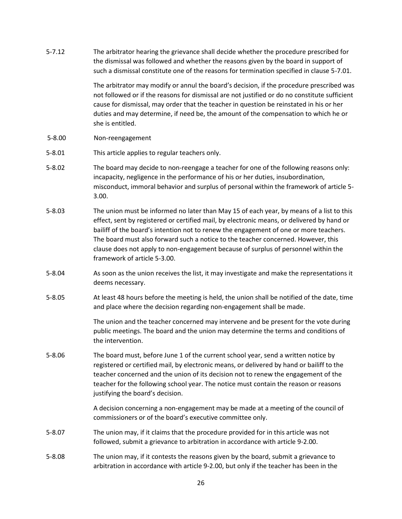<span id="page-25-0"></span>5-7.12 The arbitrator hearing the grievance shall decide whether the procedure prescribed for the dismissal was followed and whether the reasons given by the board in support of such a dismissal constitute one of the reasons for termination specified in clause 5-7.01. The arbitrator may modify or annul the board's decision, if the procedure prescribed was not followed or if the reasons for dismissal are not justified or do no constitute sufficient cause for dismissal, may order that the teacher in question be reinstated in his or her duties and may determine, if need be, the amount of the compensation to which he or she is entitled. 5-8.00 Non-reengagement 5-8.01 This article applies to regular teachers only. 5-8.02 The board may decide to non-reengage a teacher for one of the following reasons only: incapacity, negligence in the performance of his or her duties, insubordination, misconduct, immoral behavior and surplus of personal within the framework of article 5- 3.00. 5-8.03 The union must be informed no later than May 15 of each year, by means of a list to this effect, sent by registered or certified mail, by electronic means, or delivered by hand or bailiff of the board's intention not to renew the engagement of one or more teachers. The board must also forward such a notice to the teacher concerned. However, this clause does not apply to non-engagement because of surplus of personnel within the framework of article 5-3.00. 5-8.04 As soon as the union receives the list, it may investigate and make the representations it deems necessary. 5-8.05 At least 48 hours before the meeting is held, the union shall be notified of the date, time and place where the decision regarding non-engagement shall be made. The union and the teacher concerned may intervene and be present for the vote during public meetings. The board and the union may determine the terms and conditions of the intervention. 5-8.06 The board must, before June 1 of the current school year, send a written notice by registered or certified mail, by electronic means, or delivered by hand or bailiff to the teacher concerned and the union of its decision not to renew the engagement of the teacher for the following school year. The notice must contain the reason or reasons justifying the board's decision. A decision concerning a non-engagement may be made at a meeting of the council of commissioners or of the board's executive committee only. 5-8.07 The union may, if it claims that the procedure provided for in this article was not followed, submit a grievance to arbitration in accordance with article 9-2.00. 5-8.08 The union may, if it contests the reasons given by the board, submit a grievance to arbitration in accordance with article 9-2.00, but only if the teacher has been in the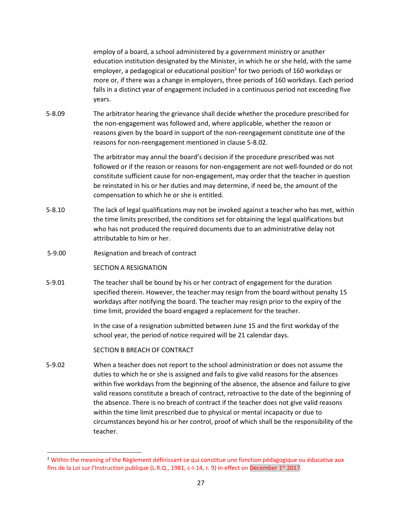employ of a board, a school administered by a government ministry or another education institution designated by the Minister, in which he or she held, with the same employer, a pedagogical or educational position<sup>2</sup> for two periods of 160 workdays or more or, if there was a change in employers, three periods of 160 workdays. Each period falls in a distinct year of engagement included in a continuous period not exceeding five years.

5-8.09 The arbitrator hearing the grievance shall decide whether the procedure prescribed for the non-engagement was followed and, where applicable, whether the reason or reasons given by the board in support of the non-reengagement constitute one of the reasons for non-reengagement mentioned in clause 5-8.02.

> The arbitrator may annul the board's decision if the procedure prescribed was not followed or if the reason or reasons for non-engagement are not well-founded or do not constitute sufficient cause for non-engagement, may order that the teacher in question be reinstated in his or her duties and may determine, if need be, the amount of the compensation to which he or she is entitled.

- 5-8.10 The lack of legal qualifications may not be invoked against a teacher who has met, within the time limits prescribed, the conditions set for obtaining the legal qualifications but who has not produced the required documents due to an administrative delay not attributable to him or her.
- <span id="page-26-0"></span>5-9.00 Resignation and breach of contract

## SECTION A RESIGNATION

5-9.01 The teacher shall be bound by his or her contract of engagement for the duration specified therein. However, the teacher may resign from the board without penalty 15 workdays after notifying the board. The teacher may resign prior to the expiry of the time limit, provided the board engaged a replacement for the teacher.

> In the case of a resignation submitted between June 15 and the first workday of the school year, the period of notice required will be 21 calendar days.

#### SECTION B BREACH OF CONTRACT

5-9.02 When a teacher does not report to the school administration or does not assume the duties to which he or she is assigned and fails to give valid reasons for the absences within five workdays from the beginning of the absence, the absence and failure to give valid reasons constitute a breach of contract, retroactive to the date of the beginning of the absence. There is no breach of contract if the teacher does not give valid reasons within the time limit prescribed due to physical or mental incapacity or due to circumstances beyond his or her control, proof of which shall be the responsibility of the teacher.

<sup>&</sup>lt;sup>2</sup> Within the meaning of the Règlement définissant ce qui constitue une fonction pédagogique ou éducative aux fins de la Loi sur l'Instruction publique (L.R.Q., 1981, c-I-14, r. 9) in effect on December 1<sup>st</sup> 2017.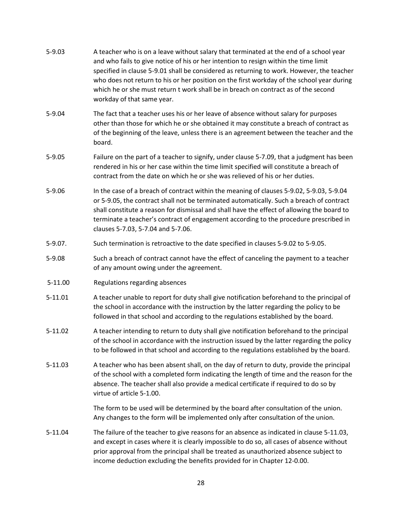- 5-9.03 A teacher who is on a leave without salary that terminated at the end of a school year and who fails to give notice of his or her intention to resign within the time limit specified in clause 5-9.01 shall be considered as returning to work. However, the teacher who does not return to his or her position on the first workday of the school year during which he or she must return t work shall be in breach on contract as of the second workday of that same year.
- 5-9.04 The fact that a teacher uses his or her leave of absence without salary for purposes other than those for which he or she obtained it may constitute a breach of contract as of the beginning of the leave, unless there is an agreement between the teacher and the board.
- 5-9.05 Failure on the part of a teacher to signify, under clause 5-7.09, that a judgment has been rendered in his or her case within the time limit specified will constitute a breach of contract from the date on which he or she was relieved of his or her duties.
- 5-9.06 In the case of a breach of contract within the meaning of clauses 5-9.02, 5-9.03, 5-9.04 or 5-9.05, the contract shall not be terminated automatically. Such a breach of contract shall constitute a reason for dismissal and shall have the effect of allowing the board to terminate a teacher's contract of engagement according to the procedure prescribed in clauses 5-7.03, 5-7.04 and 5-7.06.
- 5-9.07. Such termination is retroactive to the date specified in clauses 5-9.02 to 5-9.05.
- 5-9.08 Such a breach of contract cannot have the effect of canceling the payment to a teacher of any amount owing under the agreement.
- <span id="page-27-0"></span>5-11.00 Regulations regarding absences
- 5-11.01 A teacher unable to report for duty shall give notification beforehand to the principal of the school in accordance with the instruction by the latter regarding the policy to be followed in that school and according to the regulations established by the board.
- 5-11.02 A teacher intending to return to duty shall give notification beforehand to the principal of the school in accordance with the instruction issued by the latter regarding the policy to be followed in that school and according to the regulations established by the board.
- 5-11.03 A teacher who has been absent shall, on the day of return to duty, provide the principal of the school with a completed form indicating the length of time and the reason for the absence. The teacher shall also provide a medical certificate if required to do so by virtue of article 5-1.00.

The form to be used will be determined by the board after consultation of the union. Any changes to the form will be implemented only after consultation of the union.

5-11.04 The failure of the teacher to give reasons for an absence as indicated in clause 5-11.03, and except in cases where it is clearly impossible to do so, all cases of absence without prior approval from the principal shall be treated as unauthorized absence subject to income deduction excluding the benefits provided for in Chapter 12-0.00.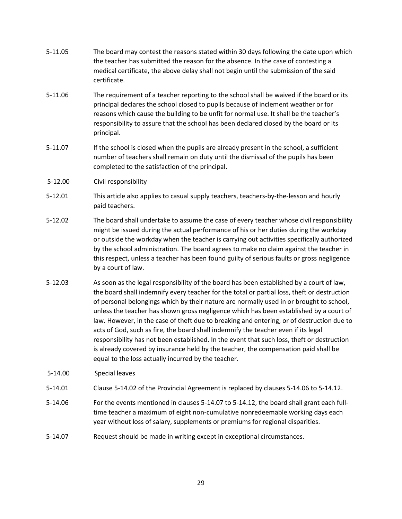- 5-11.05 The board may contest the reasons stated within 30 days following the date upon which the teacher has submitted the reason for the absence. In the case of contesting a medical certificate, the above delay shall not begin until the submission of the said certificate.
- 5-11.06 The requirement of a teacher reporting to the school shall be waived if the board or its principal declares the school closed to pupils because of inclement weather or for reasons which cause the building to be unfit for normal use. It shall be the teacher's responsibility to assure that the school has been declared closed by the board or its principal.
- 5-11.07 If the school is closed when the pupils are already present in the school, a sufficient number of teachers shall remain on duty until the dismissal of the pupils has been completed to the satisfaction of the principal.
- <span id="page-28-0"></span>5-12.00 Civil responsibility
- 5-12.01 This article also applies to casual supply teachers, teachers-by-the-lesson and hourly paid teachers.
- 5-12.02 The board shall undertake to assume the case of every teacher whose civil responsibility might be issued during the actual performance of his or her duties during the workday or outside the workday when the teacher is carrying out activities specifically authorized by the school administration. The board agrees to make no claim against the teacher in this respect, unless a teacher has been found guilty of serious faults or gross negligence by a court of law.
- 5-12.03 As soon as the legal responsibility of the board has been established by a court of law, the board shall indemnify every teacher for the total or partial loss, theft or destruction of personal belongings which by their nature are normally used in or brought to school, unless the teacher has shown gross negligence which has been established by a court of law. However, in the case of theft due to breaking and entering, or of destruction due to acts of God, such as fire, the board shall indemnify the teacher even if its legal responsibility has not been established. In the event that such loss, theft or destruction is already covered by insurance held by the teacher, the compensation paid shall be equal to the loss actually incurred by the teacher.
- <span id="page-28-1"></span>5-14.00 Special leaves
- 5-14.01 Clause 5-14.02 of the Provincial Agreement is replaced by clauses 5-14.06 to 5-14.12.
- 5-14.06 For the events mentioned in clauses 5-14.07 to 5-14.12, the board shall grant each fulltime teacher a maximum of eight non-cumulative nonredeemable working days each year without loss of salary, supplements or premiums for regional disparities.
- 5-14.07 Request should be made in writing except in exceptional circumstances.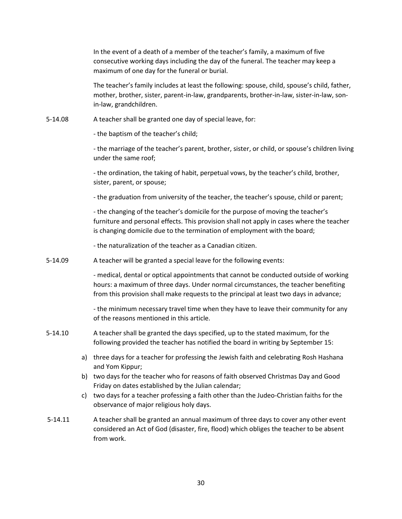In the event of a death of a member of the teacher's family, a maximum of five consecutive working days including the day of the funeral. The teacher may keep a maximum of one day for the funeral or burial.

The teacher's family includes at least the following: spouse, child, spouse's child, father, mother, brother, sister, parent-in-law, grandparents, brother-in-law, sister-in-law, sonin-law, grandchildren.

5-14.08 A teacher shall be granted one day of special leave, for:

- the baptism of the teacher's child;

- the marriage of the teacher's parent, brother, sister, or child, or spouse's children living under the same roof;

- the ordination, the taking of habit, perpetual vows, by the teacher's child, brother, sister, parent, or spouse;

- the graduation from university of the teacher, the teacher's spouse, child or parent;

- the changing of the teacher's domicile for the purpose of moving the teacher's furniture and personal effects. This provision shall not apply in cases where the teacher is changing domicile due to the termination of employment with the board;

- the naturalization of the teacher as a Canadian citizen.

5-14.09 A teacher will be granted a special leave for the following events:

- medical, dental or optical appointments that cannot be conducted outside of working hours: a maximum of three days. Under normal circumstances, the teacher benefiting from this provision shall make requests to the principal at least two days in advance;

- the minimum necessary travel time when they have to leave their community for any of the reasons mentioned in this article.

- 5-14.10 A teacher shall be granted the days specified, up to the stated maximum, for the following provided the teacher has notified the board in writing by September 15:
	- a) three days for a teacher for professing the Jewish faith and celebrating Rosh Hashana and Yom Kippur;
	- b) two days for the teacher who for reasons of faith observed Christmas Day and Good Friday on dates established by the Julian calendar;
	- c) two days for a teacher professing a faith other than the Judeo-Christian faiths for the observance of major religious holy days.
- 5-14.11 A teacher shall be granted an annual maximum of three days to cover any other event considered an Act of God (disaster, fire, flood) which obliges the teacher to be absent from work.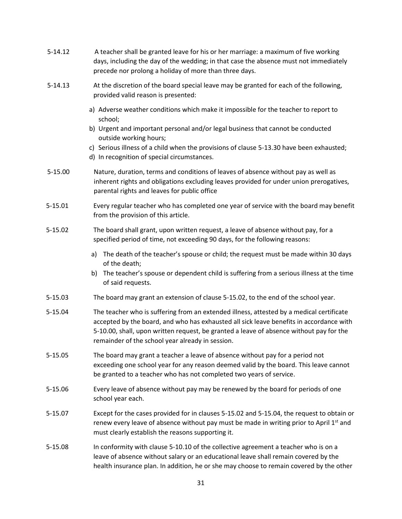<span id="page-30-0"></span>

| $5 - 14.12$ | A teacher shall be granted leave for his or her marriage: a maximum of five working<br>days, including the day of the wedding; in that case the absence must not immediately<br>precede nor prolong a holiday of more than three days.                                                                                                                 |
|-------------|--------------------------------------------------------------------------------------------------------------------------------------------------------------------------------------------------------------------------------------------------------------------------------------------------------------------------------------------------------|
| $5 - 14.13$ | At the discretion of the board special leave may be granted for each of the following,<br>provided valid reason is presented:                                                                                                                                                                                                                          |
|             | a) Adverse weather conditions which make it impossible for the teacher to report to<br>school;<br>b) Urgent and important personal and/or legal business that cannot be conducted<br>outside working hours;<br>c) Serious illness of a child when the provisions of clause 5-13.30 have been exhausted;<br>d) In recognition of special circumstances. |
| 5-15.00     | Nature, duration, terms and conditions of leaves of absence without pay as well as<br>inherent rights and obligations excluding leaves provided for under union prerogatives,<br>parental rights and leaves for public office                                                                                                                          |
| 5-15.01     | Every regular teacher who has completed one year of service with the board may benefit<br>from the provision of this article.                                                                                                                                                                                                                          |
| 5-15.02     | The board shall grant, upon written request, a leave of absence without pay, for a<br>specified period of time, not exceeding 90 days, for the following reasons:                                                                                                                                                                                      |
|             | a) The death of the teacher's spouse or child; the request must be made within 30 days<br>of the death;<br>The teacher's spouse or dependent child is suffering from a serious illness at the time<br>b)<br>of said requests.                                                                                                                          |
| 5-15.03     | The board may grant an extension of clause 5-15.02, to the end of the school year.                                                                                                                                                                                                                                                                     |
| 5-15.04     | The teacher who is suffering from an extended illness, attested by a medical certificate<br>accepted by the board, and who has exhausted all sick leave benefits in accordance with<br>5-10.00, shall, upon written request, be granted a leave of absence without pay for the<br>remainder of the school year already in session.                     |
| 5-15.05     | The board may grant a teacher a leave of absence without pay for a period not<br>exceeding one school year for any reason deemed valid by the board. This leave cannot<br>be granted to a teacher who has not completed two years of service.                                                                                                          |
| 5-15.06     | Every leave of absence without pay may be renewed by the board for periods of one<br>school year each.                                                                                                                                                                                                                                                 |
| 5-15.07     | Except for the cases provided for in clauses 5-15.02 and 5-15.04, the request to obtain or<br>renew every leave of absence without pay must be made in writing prior to April 1st and<br>must clearly establish the reasons supporting it.                                                                                                             |
| 5-15.08     | In conformity with clause 5-10.10 of the collective agreement a teacher who is on a<br>leave of absence without salary or an educational leave shall remain covered by the<br>health insurance plan. In addition, he or she may choose to remain covered by the other                                                                                  |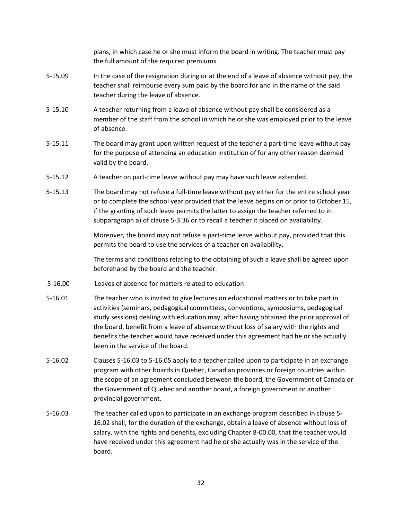plans, in which case he or she must inform the board in writing. The teacher must pay the full amount of the required premiums.

- 5-15.09 In the case of the resignation during or at the end of a leave of absence without pay, the teacher shall reimburse every sum paid by the board for and in the name of the said teacher during the leave of absence.
- 5-15.10 A teacher returning from a leave of absence without pay shall be considered as a member of the staff from the school in which he or she was employed prior to the leave of absence.
- 5-15.11 The board may grant upon written request of the teacher a part-time leave without pay for the purpose of attending an education institution of for any other reason deemed valid by the board.
- 5-15.12 A teacher on part-time leave without pay may have such leave extended.
- 5-15.13 The board may not refuse a full-time leave without pay either for the entire school year or to complete the school year provided that the leave begins on or prior to October 15, if the granting of such leave permits the latter to assign the teacher referred to in subparagraph a) of clause 5-3.36 or to recall a teacher it placed on availability.

Moreover, the board may not refuse a part-time leave without pay, provided that this permits the board to use the services of a teacher on availability.

The terms and conditions relating to the obtaining of such a leave shall be agreed upon beforehand by the board and the teacher.

- <span id="page-31-0"></span>5-16.00 Leaves of absence for matters related to education
- 5-16.01 The teacher who is invited to give lectures on educational matters or to take part in activities (seminars, pedagogical committees, conventions, symposiums, pedagogical study sessions) dealing with education may, after having obtained the prior approval of the board, benefit from a leave of absence without loss of salary with the rights and benefits the teacher would have received under this agreement had he or she actually been in the service of the board.
- 5-16.02 Clauses 5-16.03 to 5-16.05 apply to a teacher called upon to participate in an exchange program with other boards in Quebec, Canadian provinces or foreign countries within the scope of an agreement concluded between the board, the Government of Canada or the Government of Quebec and another board, a foreign government or another provincial government.
- 5-16.03 The teacher called upon to participate in an exchange program described in clause 5- 16.02 shall, for the duration of the exchange, obtain a leave of absence without loss of salary, with the rights and benefits, excluding Chapter 8-00.00, that the teacher would have received under this agreement had he or she actually was in the service of the board.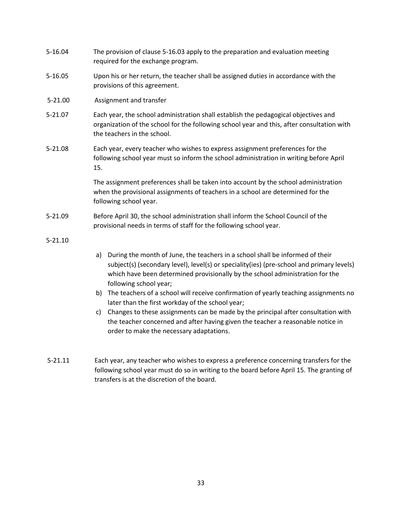<span id="page-32-0"></span>

| 5-16.04     | The provision of clause 5-16.03 apply to the preparation and evaluation meeting<br>required for the exchange program.                                                                                                                                                                       |
|-------------|---------------------------------------------------------------------------------------------------------------------------------------------------------------------------------------------------------------------------------------------------------------------------------------------|
| 5-16.05     | Upon his or her return, the teacher shall be assigned duties in accordance with the<br>provisions of this agreement.                                                                                                                                                                        |
| $5 - 21.00$ | Assignment and transfer                                                                                                                                                                                                                                                                     |
| 5-21.07     | Each year, the school administration shall establish the pedagogical objectives and<br>organization of the school for the following school year and this, after consultation with<br>the teachers in the school.                                                                            |
| 5-21.08     | Each year, every teacher who wishes to express assignment preferences for the<br>following school year must so inform the school administration in writing before April<br>15.                                                                                                              |
|             | The assignment preferences shall be taken into account by the school administration<br>when the provisional assignments of teachers in a school are determined for the<br>following school year.                                                                                            |
| 5-21.09     | Before April 30, the school administration shall inform the School Council of the<br>provisional needs in terms of staff for the following school year.                                                                                                                                     |
| $5 - 21.10$ |                                                                                                                                                                                                                                                                                             |
|             | During the month of June, the teachers in a school shall be informed of their<br>a)<br>subject(s) (secondary level), level(s) or speciality(ies) (pre-school and primary levels)<br>which have been determined provisionally by the school administration for the<br>following school year; |
|             | The teachers of a school will receive confirmation of yearly teaching assignments no<br>b)<br>later than the first workday of the school year;                                                                                                                                              |
|             | Changes to these assignments can be made by the principal after consultation with<br>c)<br>the teacher concerned and after having given the teacher a reasonable notice in<br>order to make the necessary adaptations.                                                                      |
| $5 - 21.11$ | Each year, any teacher who wishes to express a preference concerning transfers for the<br>following school year must do so in writing to the board before April 15. The granting of                                                                                                         |

transfers is at the discretion of the board.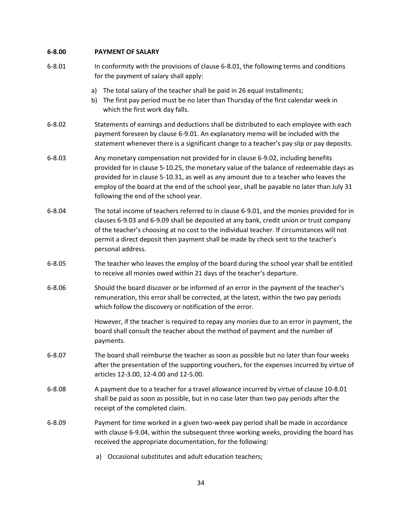## <span id="page-33-0"></span>**6-8.00 PAYMENT OF SALARY**

| $6 - 8.01$ | In conformity with the provisions of clause 6-8.01, the following terms and conditions<br>for the payment of salary shall apply:                                                                                                                                                                                                                                                                          |
|------------|-----------------------------------------------------------------------------------------------------------------------------------------------------------------------------------------------------------------------------------------------------------------------------------------------------------------------------------------------------------------------------------------------------------|
|            | a) The total salary of the teacher shall be paid in 26 equal installments;<br>The first pay period must be no later than Thursday of the first calendar week in<br>b)<br>which the first work day falls.                                                                                                                                                                                                  |
| $6 - 8.02$ | Statements of earnings and deductions shall be distributed to each employee with each<br>payment foreseen by clause 6-9.01. An explanatory memo will be included with the<br>statement whenever there is a significant change to a teacher's pay slip or pay deposits.                                                                                                                                    |
| $6 - 8.03$ | Any monetary compensation not provided for in clause 6-9.02, including benefits<br>provided for in clause 5-10.25, the monetary value of the balance of redeemable days as<br>provided for in clause 5-10.31, as well as any amount due to a teacher who leaves the<br>employ of the board at the end of the school year, shall be payable no later than July 31<br>following the end of the school year. |
| $6 - 8.04$ | The total income of teachers referred to in clause 6-9.01, and the monies provided for in<br>clauses 6-9.03 and 6-9.09 shall be deposited at any bank, credit union or trust company<br>of the teacher's choosing at no cost to the individual teacher. If circumstances will not<br>permit a direct deposit then payment shall be made by check sent to the teacher's<br>personal address.               |
| $6 - 8.05$ | The teacher who leaves the employ of the board during the school year shall be entitled<br>to receive all monies owed within 21 days of the teacher's departure.                                                                                                                                                                                                                                          |
| $6 - 8.06$ | Should the board discover or be informed of an error in the payment of the teacher's<br>remuneration, this error shall be corrected, at the latest, within the two pay periods<br>which follow the discovery or notification of the error.                                                                                                                                                                |
|            | However, if the teacher is required to repay any monies due to an error in payment, the<br>board shall consult the teacher about the method of payment and the number of<br>payments.                                                                                                                                                                                                                     |
| $6 - 8.07$ | The board shall reimburse the teacher as soon as possible but no later than four weeks<br>after the presentation of the supporting vouchers, for the expenses incurred by virtue of<br>articles 12-3.00, 12-4.00 and 12-5.00.                                                                                                                                                                             |
| $6 - 8.08$ | A payment due to a teacher for a travel allowance incurred by virtue of clause 10-8.01<br>shall be paid as soon as possible, but in no case later than two pay periods after the<br>receipt of the completed claim.                                                                                                                                                                                       |
| $6 - 8.09$ | Payment for time worked in a given two-week pay period shall be made in accordance<br>with clause 6-9.04, within the subsequent three working weeks, providing the board has<br>received the appropriate documentation, for the following:                                                                                                                                                                |
|            | Occasional substitutes and adult education teachers;<br>a)                                                                                                                                                                                                                                                                                                                                                |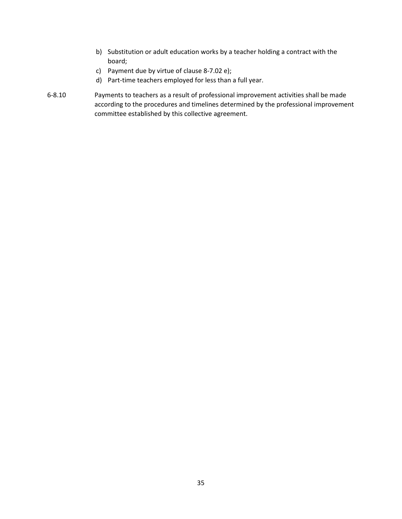- b) Substitution or adult education works by a teacher holding a contract with the board;
- c) Payment due by virtue of clause 8-7.02 e);
- d) Part-time teachers employed for less than a full year.
- 6-8.10 Payments to teachers as a result of professional improvement activities shall be made according to the procedures and timelines determined by the professional improvement committee established by this collective agreement.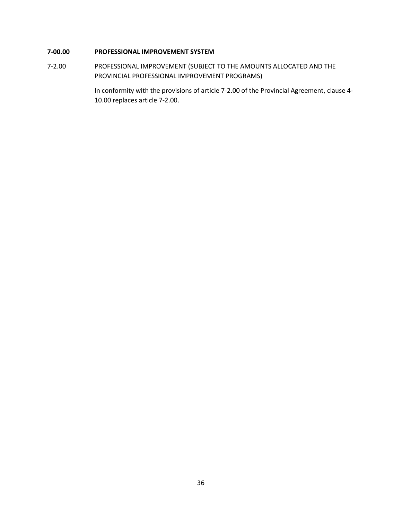## <span id="page-35-0"></span>**7-00.00 PROFESSIONAL IMPROVEMENT SYSTEM**

7-2.00 PROFESSIONAL IMPROVEMENT (SUBJECT TO THE AMOUNTS ALLOCATED AND THE PROVINCIAL PROFESSIONAL IMPROVEMENT PROGRAMS)

> In conformity with the provisions of article 7-2.00 of the Provincial Agreement, clause 4- 10.00 replaces article 7-2.00.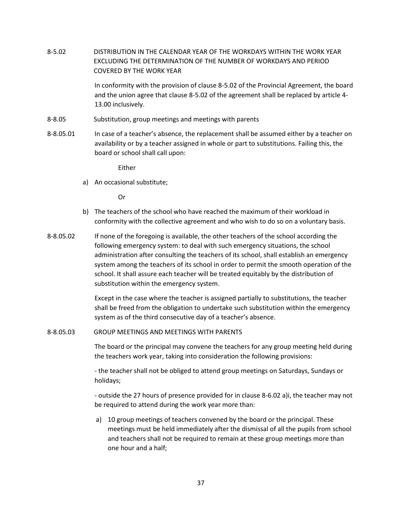<span id="page-36-0"></span>8-5.02 DISTRIBUTION IN THE CALENDAR YEAR OF THE WORKDAYS WITHIN THE WORK YEAR EXCLUDING THE DETERMINATION OF THE NUMBER OF WORKDAYS AND PERIOD COVERED BY THE WORK YEAR

> In conformity with the provision of clause 8-5.02 of the Provincial Agreement, the board and the union agree that clause 8-5.02 of the agreement shall be replaced by article 4- 13.00 inclusively.

- <span id="page-36-1"></span>8-8.05 Substitution, group meetings and meetings with parents
- 8-8.05.01 In case of a teacher's absence, the replacement shall be assumed either by a teacher on availability or by a teacher assigned in whole or part to substitutions. Failing this, the board or school shall call upon:

Either

a) An occasional substitute;

Or

- b) The teachers of the school who have reached the maximum of their workload in conformity with the collective agreement and who wish to do so on a voluntary basis.
- 8-8.05.02 If none of the foregoing is available, the other teachers of the school according the following emergency system: to deal with such emergency situations, the school administration after consulting the teachers of its school, shall establish an emergency system among the teachers of its school in order to permit the smooth operation of the school. It shall assure each teacher will be treated equitably by the distribution of substitution within the emergency system.

Except in the case where the teacher is assigned partially to substitutions, the teacher shall be freed from the obligation to undertake such substitution within the emergency system as of the third consecutive day of a teacher's absence.

#### <span id="page-36-2"></span>8-8.05.03 GROUP MEETINGS AND MEETINGS WITH PARENTS

The board or the principal may convene the teachers for any group meeting held during the teachers work year, taking into consideration the following provisions:

- the teacher shall not be obliged to attend group meetings on Saturdays, Sundays or holidays;

- outside the 27 hours of presence provided for in clause 8-6.02 a)i, the teacher may not be required to attend during the work year more than:

a) 10 group meetings of teachers convened by the board or the principal. These meetings must be held immediately after the dismissal of all the pupils from school and teachers shall not be required to remain at these group meetings more than one hour and a half;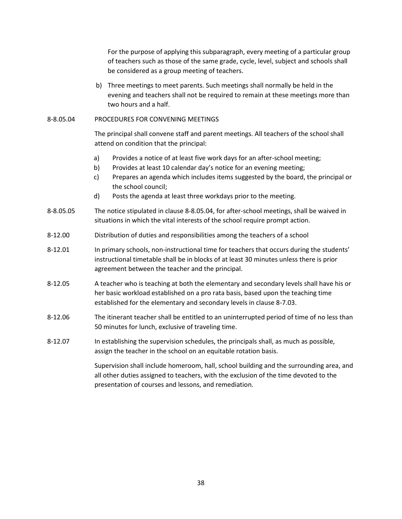For the purpose of applying this subparagraph, every meeting of a particular group of teachers such as those of the same grade, cycle, level, subject and schools shall be considered as a group meeting of teachers.

b) Three meetings to meet parents. Such meetings shall normally be held in the evening and teachers shall not be required to remain at these meetings more than two hours and a half.

### 8-8.05.04 PROCEDURES FOR CONVENING MEETINGS

The principal shall convene staff and parent meetings. All teachers of the school shall attend on condition that the principal:

- a) Provides a notice of at least five work days for an after-school meeting;
- b) Provides at least 10 calendar day's notice for an evening meeting;
- c) Prepares an agenda which includes items suggested by the board, the principal or the school council;
- d) Posts the agenda at least three workdays prior to the meeting.
- 8-8.05.05 The notice stipulated in clause 8-8.05.04, for after-school meetings, shall be waived in situations in which the vital interests of the school require prompt action.
- <span id="page-37-0"></span>8-12.00 Distribution of duties and responsibilities among the teachers of a school
- 8-12.01 In primary schools, non-instructional time for teachers that occurs during the students' instructional timetable shall be in blocks of at least 30 minutes unless there is prior agreement between the teacher and the principal.
- 8-12.05 A teacher who is teaching at both the elementary and secondary levels shall have his or her basic workload established on a pro rata basis, based upon the teaching time established for the elementary and secondary levels in clause 8-7.03.
- 8-12.06 The itinerant teacher shall be entitled to an uninterrupted period of time of no less than 50 minutes for lunch, exclusive of traveling time.
- 8-12.07 In establishing the supervision schedules, the principals shall, as much as possible, assign the teacher in the school on an equitable rotation basis.

Supervision shall include homeroom, hall, school building and the surrounding area, and all other duties assigned to teachers, with the exclusion of the time devoted to the presentation of courses and lessons, and remediation.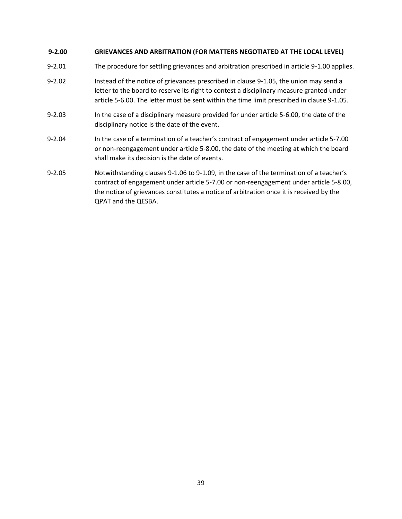## <span id="page-38-0"></span>**9-2.00 GRIEVANCES AND ARBITRATION (FOR MATTERS NEGOTIATED AT THE LOCAL LEVEL)**

- 9-2.01 The procedure for settling grievances and arbitration prescribed in article 9-1.00 applies.
- 9-2.02 Instead of the notice of grievances prescribed in clause 9-1.05, the union may send a letter to the board to reserve its right to contest a disciplinary measure granted under article 5-6.00. The letter must be sent within the time limit prescribed in clause 9-1.05.
- 9-2.03 In the case of a disciplinary measure provided for under article 5-6.00, the date of the disciplinary notice is the date of the event.
- 9-2.04 In the case of a termination of a teacher's contract of engagement under article 5-7.00 or non-reengagement under article 5-8.00, the date of the meeting at which the board shall make its decision is the date of events.
- 9-2.05 Notwithstanding clauses 9-1.06 to 9-1.09, in the case of the termination of a teacher's contract of engagement under article 5-7.00 or non-reengagement under article 5-8.00, the notice of grievances constitutes a notice of arbitration once it is received by the QPAT and the QESBA.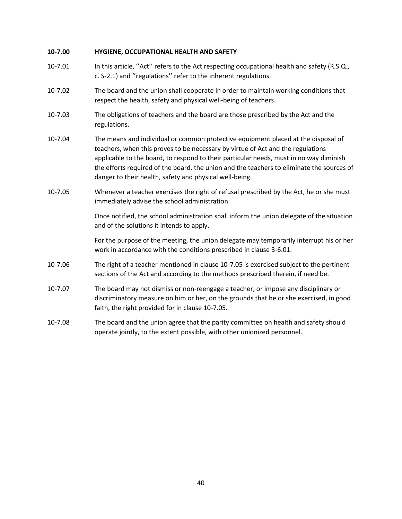## <span id="page-39-0"></span>**10-7.00 HYGIENE, OCCUPATIONAL HEALTH AND SAFETY**

- 10-7.01 In this article, ''Act'' refers to the Act respecting occupational health and safety (R.S.Q., c. S-2.1) and ''regulations'' refer to the inherent regulations.
- 10-7.02 The board and the union shall cooperate in order to maintain working conditions that respect the health, safety and physical well-being of teachers.
- 10-7.03 The obligations of teachers and the board are those prescribed by the Act and the regulations.
- 10-7.04 The means and individual or common protective equipment placed at the disposal of teachers, when this proves to be necessary by virtue of Act and the regulations applicable to the board, to respond to their particular needs, must in no way diminish the efforts required of the board, the union and the teachers to eliminate the sources of danger to their health, safety and physical well-being.
- 10-7.05 Whenever a teacher exercises the right of refusal prescribed by the Act, he or she must immediately advise the school administration.

Once notified, the school administration shall inform the union delegate of the situation and of the solutions it intends to apply.

For the purpose of the meeting, the union delegate may temporarily interrupt his or her work in accordance with the conditions prescribed in clause 3-6.01.

- 10-7.06 The right of a teacher mentioned in clause 10-7.05 is exercised subject to the pertinent sections of the Act and according to the methods prescribed therein, if need be.
- 10-7.07 The board may not dismiss or non-reengage a teacher, or impose any disciplinary or discriminatory measure on him or her, on the grounds that he or she exercised, in good faith, the right provided for in clause 10-7.05.
- 10-7.08 The board and the union agree that the parity committee on health and safety should operate jointly, to the extent possible, with other unionized personnel.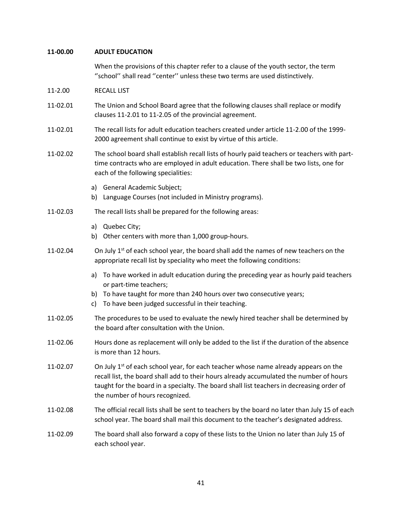### <span id="page-40-0"></span>**11-00.00 ADULT EDUCATION**

When the provisions of this chapter refer to a clause of the youth sector, the term ''school'' shall read ''center'' unless these two terms are used distinctively.

- 11-2.00 RECALL LIST
- 11-02.01 The Union and School Board agree that the following clauses shall replace or modify clauses 11-2.01 to 11-2.05 of the provincial agreement.
- 11-02.01 The recall lists for adult education teachers created under article 11-2.00 of the 1999- 2000 agreement shall continue to exist by virtue of this article.
- 11-02.02 The school board shall establish recall lists of hourly paid teachers or teachers with parttime contracts who are employed in adult education. There shall be two lists, one for each of the following specialities:
	- a) General Academic Subject;
	- b) Language Courses (not included in Ministry programs).

#### 11-02.03 The recall lists shall be prepared for the following areas:

- a) Quebec City;
- b) Other centers with more than 1,000 group-hours.
- 11-02.04 On July  $1^{st}$  of each school year, the board shall add the names of new teachers on the appropriate recall list by speciality who meet the following conditions:
	- a) To have worked in adult education during the preceding year as hourly paid teachers or part-time teachers;
	- b) To have taught for more than 240 hours over two consecutive years;
	- c) To have been judged successful in their teaching.
- 11-02.05 The procedures to be used to evaluate the newly hired teacher shall be determined by the board after consultation with the Union.
- 11-02.06 Hours done as replacement will only be added to the list if the duration of the absence is more than 12 hours.
- 11-02.07 On July  $1<sup>st</sup>$  of each school year, for each teacher whose name already appears on the recall list, the board shall add to their hours already accumulated the number of hours taught for the board in a specialty. The board shall list teachers in decreasing order of the number of hours recognized.
- 11-02.08 The official recall lists shall be sent to teachers by the board no later than July 15 of each school year. The board shall mail this document to the teacher's designated address.
- 11-02.09 The board shall also forward a copy of these lists to the Union no later than July 15 of each school year.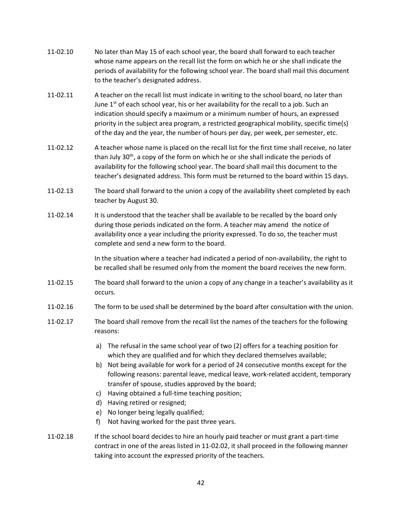- 11-02.10 No later than May 15 of each school year, the board shall forward to each teacher whose name appears on the recall list the form on which he or she shall indicate the periods of availability for the following school year. The board shall mail this document to the teacher's designated address.
- 11-02.11 A teacher on the recall list must indicate in writing to the school board, no later than June  $1<sup>st</sup>$  of each school year, his or her availability for the recall to a job. Such an indication should specify a maximum or a minimum number of hours, an expressed priority in the subject area program, a restricted geographical mobility, specific time(s) of the day and the year, the number of hours per day, per week, per semester, etc.
- 11-02.12 A teacher whose name is placed on the recall list for the first time shall receive, no later than July  $30<sup>th</sup>$ , a copy of the form on which he or she shall indicate the periods of availability for the following school year. The board shall mail this document to the teacher's designated address. This form must be returned to the board within 15 days.
- 11-02.13 The board shall forward to the union a copy of the availability sheet completed by each teacher by August 30.
- 11-02.14 It is understood that the teacher shall be available to be recalled by the board only during those periods indicated on the form. A teacher may amend the notice of availability once a year including the priority expressed. To do so, the teacher must complete and send a new form to the board.

In the situation where a teacher had indicated a period of non-availability, the right to be recalled shall be resumed only from the moment the board receives the new form.

- 11-02.15 The board shall forward to the union a copy of any change in a teacher's availability as it occurs.
- 11-02.16 The form to be used shall be determined by the board after consultation with the union.
- 11-02.17 The board shall remove from the recall list the names of the teachers for the following reasons:
	- a) The refusal in the same school year of two (2) offers for a teaching position for which they are qualified and for which they declared themselves available;
	- b) Not being available for work for a period of 24 consecutive months except for the following reasons: parental leave, medical leave, work-related accident, temporary transfer of spouse, studies approved by the board;
	- c) Having obtained a full-time teaching position;
	- d) Having retired or resigned;
	- e) No longer being legally qualified;
	- f) Not having worked for the past three years.
- 11-02.18 If the school board decides to hire an hourly paid teacher or must grant a part-time contract in one of the areas listed in 11-02.02, it shall proceed in the following manner taking into account the expressed priority of the teachers.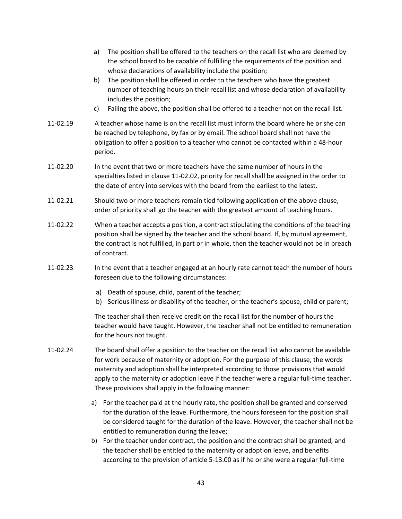- a) The position shall be offered to the teachers on the recall list who are deemed by the school board to be capable of fulfilling the requirements of the position and whose declarations of availability include the position; b) The position shall be offered in order to the teachers who have the greatest number of teaching hours on their recall list and whose declaration of availability includes the position; c) Failing the above, the position shall be offered to a teacher not on the recall list. 11-02.19 A teacher whose name is on the recall list must inform the board where he or she can be reached by telephone, by fax or by email. The school board shall not have the obligation to offer a position to a teacher who cannot be contacted within a 48-hour period. 11-02.20 In the event that two or more teachers have the same number of hours in the specialties listed in clause 11-02.02, priority for recall shall be assigned in the order to the date of entry into services with the board from the earliest to the latest. 11-02.21 Should two or more teachers remain tied following application of the above clause, order of priority shall go the teacher with the greatest amount of teaching hours. 11-02.22 When a teacher accepts a position, a contract stipulating the conditions of the teaching position shall be signed by the teacher and the school board. If, by mutual agreement, the contract is not fulfilled, in part or in whole, then the teacher would not be in breach of contract. 11-02.23 In the event that a teacher engaged at an hourly rate cannot teach the number of hours foreseen due to the following circumstances: a) Death of spouse, child, parent of the teacher; b) Serious illness or disability of the teacher, or the teacher's spouse, child or parent; The teacher shall then receive credit on the recall list for the number of hours the teacher would have taught. However, the teacher shall not be entitled to remuneration for the hours not taught. 11-02.24 The board shall offer a position to the teacher on the recall list who cannot be available for work because of maternity or adoption. For the purpose of this clause, the words maternity and adoption shall be interpreted according to those provisions that would apply to the maternity or adoption leave if the teacher were a regular full-time teacher.
	- a) For the teacher paid at the hourly rate, the position shall be granted and conserved for the duration of the leave. Furthermore, the hours foreseen for the position shall be considered taught for the duration of the leave. However, the teacher shall not be entitled to remuneration during the leave;
	- b) For the teacher under contract, the position and the contract shall be granted, and the teacher shall be entitled to the maternity or adoption leave, and benefits according to the provision of article 5-13.00 as if he or she were a regular full-time

These provisions shall apply in the following manner: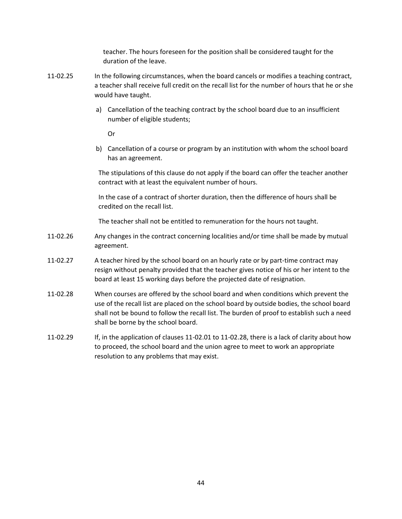teacher. The hours foreseen for the position shall be considered taught for the duration of the leave.

- 11-02.25 In the following circumstances, when the board cancels or modifies a teaching contract, a teacher shall receive full credit on the recall list for the number of hours that he or she would have taught.
	- a) Cancellation of the teaching contract by the school board due to an insufficient number of eligible students;

Or

b) Cancellation of a course or program by an institution with whom the school board has an agreement.

The stipulations of this clause do not apply if the board can offer the teacher another contract with at least the equivalent number of hours.

In the case of a contract of shorter duration, then the difference of hours shall be credited on the recall list.

The teacher shall not be entitled to remuneration for the hours not taught.

- 11-02.26 Any changes in the contract concerning localities and/or time shall be made by mutual agreement.
- 11-02.27 A teacher hired by the school board on an hourly rate or by part-time contract may resign without penalty provided that the teacher gives notice of his or her intent to the board at least 15 working days before the projected date of resignation.
- 11-02.28 When courses are offered by the school board and when conditions which prevent the use of the recall list are placed on the school board by outside bodies, the school board shall not be bound to follow the recall list. The burden of proof to establish such a need shall be borne by the school board.
- 11-02.29 If, in the application of clauses 11-02.01 to 11-02.28, there is a lack of clarity about how to proceed, the school board and the union agree to meet to work an appropriate resolution to any problems that may exist.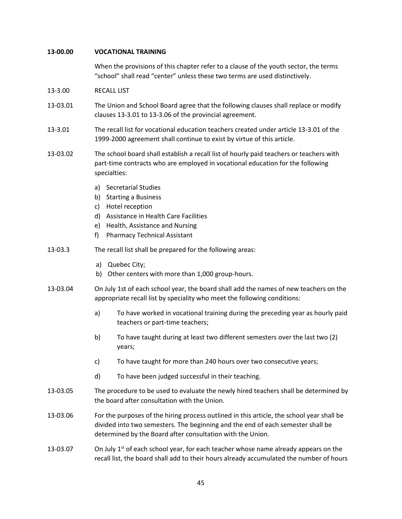### <span id="page-44-0"></span>**13-00.00 VOCATIONAL TRAINING**

When the provisions of this chapter refer to a clause of the youth sector, the terms "school" shall read "center" unless these two terms are used distinctively.

- 13-3.00 RECALL LIST
- 13-03.01 The Union and School Board agree that the following clauses shall replace or modify clauses 13-3.01 to 13-3.06 of the provincial agreement.
- 13-3.01 The recall list for vocational education teachers created under article 13-3.01 of the 1999-2000 agreement shall continue to exist by virtue of this article.
- 13-03.02 The school board shall establish a recall list of hourly paid teachers or teachers with part-time contracts who are employed in vocational education for the following specialties:
	- a) Secretarial Studies
	- b) Starting a Business
	- c) Hotel reception
	- d) Assistance in Health Care Facilities
	- e) Health, Assistance and Nursing
	- f) Pharmacy Technical Assistant
- 13-03.3 The recall list shall be prepared for the following areas:
	- a) Quebec City;
	- b) Other centers with more than 1,000 group-hours.
- 13-03.04 On July 1st of each school year, the board shall add the names of new teachers on the appropriate recall list by speciality who meet the following conditions:
	- a) To have worked in vocational training during the preceding year as hourly paid teachers or part-time teachers;
	- b) To have taught during at least two different semesters over the last two (2) years;
	- c) To have taught for more than 240 hours over two consecutive years;
	- d) To have been judged successful in their teaching.
- 13-03.05 The procedure to be used to evaluate the newly hired teachers shall be determined by the board after consultation with the Union.
- 13-03.06 For the purposes of the hiring process outlined in this article, the school year shall be divided into two semesters. The beginning and the end of each semester shall be determined by the Board after consultation with the Union.
- 13-03.07 On July  $1<sup>st</sup>$  of each school year, for each teacher whose name already appears on the recall list, the board shall add to their hours already accumulated the number of hours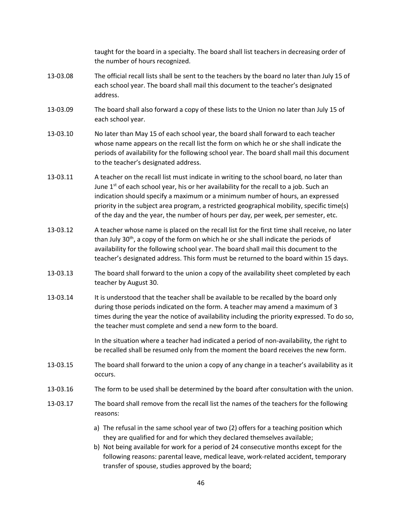taught for the board in a specialty. The board shall list teachers in decreasing order of the number of hours recognized.

- 13-03.08 The official recall lists shall be sent to the teachers by the board no later than July 15 of each school year. The board shall mail this document to the teacher's designated address.
- 13-03.09 The board shall also forward a copy of these lists to the Union no later than July 15 of each school year.
- 13-03.10 No later than May 15 of each school year, the board shall forward to each teacher whose name appears on the recall list the form on which he or she shall indicate the periods of availability for the following school year. The board shall mail this document to the teacher's designated address.
- 13-03.11 A teacher on the recall list must indicate in writing to the school board, no later than June  $1<sup>st</sup>$  of each school year, his or her availability for the recall to a job. Such an indication should specify a maximum or a minimum number of hours, an expressed priority in the subject area program, a restricted geographical mobility, specific time(s) of the day and the year, the number of hours per day, per week, per semester, etc.
- 13-03.12 A teacher whose name is placed on the recall list for the first time shall receive, no later than July 30<sup>th</sup>, a copy of the form on which he or she shall indicate the periods of availability for the following school year. The board shall mail this document to the teacher's designated address. This form must be returned to the board within 15 days.
- 13-03.13 The board shall forward to the union a copy of the availability sheet completed by each teacher by August 30.
- 13-03.14 It is understood that the teacher shall be available to be recalled by the board only during those periods indicated on the form. A teacher may amend a maximum of 3 times during the year the notice of availability including the priority expressed. To do so, the teacher must complete and send a new form to the board.

In the situation where a teacher had indicated a period of non-availability, the right to be recalled shall be resumed only from the moment the board receives the new form.

- 13-03.15 The board shall forward to the union a copy of any change in a teacher's availability as it occurs.
- 13-03.16 The form to be used shall be determined by the board after consultation with the union.
- 13-03.17 The board shall remove from the recall list the names of the teachers for the following reasons:
	- a) The refusal in the same school year of two (2) offers for a teaching position which they are qualified for and for which they declared themselves available;
	- b) Not being available for work for a period of 24 consecutive months except for the following reasons: parental leave, medical leave, work-related accident, temporary transfer of spouse, studies approved by the board;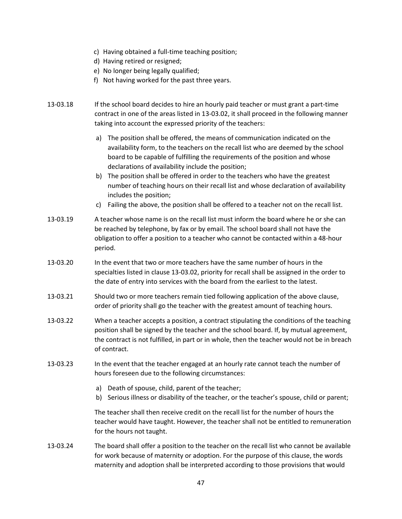- c) Having obtained a full-time teaching position;
- d) Having retired or resigned;
- e) No longer being legally qualified;
- f) Not having worked for the past three years.
- 13-03.18 If the school board decides to hire an hourly paid teacher or must grant a part-time contract in one of the areas listed in 13-03.02, it shall proceed in the following manner taking into account the expressed priority of the teachers:
	- a) The position shall be offered, the means of communication indicated on the availability form, to the teachers on the recall list who are deemed by the school board to be capable of fulfilling the requirements of the position and whose declarations of availability include the position;
	- b) The position shall be offered in order to the teachers who have the greatest number of teaching hours on their recall list and whose declaration of availability includes the position;
	- c) Failing the above, the position shall be offered to a teacher not on the recall list.
- 13-03.19 A teacher whose name is on the recall list must inform the board where he or she can be reached by telephone, by fax or by email. The school board shall not have the obligation to offer a position to a teacher who cannot be contacted within a 48-hour period.
- 13-03.20 In the event that two or more teachers have the same number of hours in the specialties listed in clause 13-03.02, priority for recall shall be assigned in the order to the date of entry into services with the board from the earliest to the latest.
- 13-03.21 Should two or more teachers remain tied following application of the above clause, order of priority shall go the teacher with the greatest amount of teaching hours.
- 13-03.22 When a teacher accepts a position, a contract stipulating the conditions of the teaching position shall be signed by the teacher and the school board. If, by mutual agreement, the contract is not fulfilled, in part or in whole, then the teacher would not be in breach of contract.
- 13-03.23 In the event that the teacher engaged at an hourly rate cannot teach the number of hours foreseen due to the following circumstances:
	- a) Death of spouse, child, parent of the teacher;
	- b) Serious illness or disability of the teacher, or the teacher's spouse, child or parent;

The teacher shall then receive credit on the recall list for the number of hours the teacher would have taught. However, the teacher shall not be entitled to remuneration for the hours not taught.

13-03.24 The board shall offer a position to the teacher on the recall list who cannot be available for work because of maternity or adoption. For the purpose of this clause, the words maternity and adoption shall be interpreted according to those provisions that would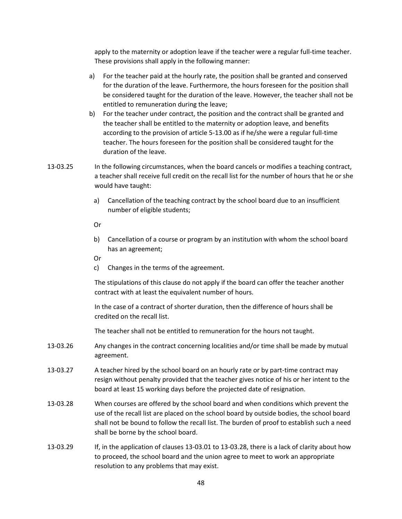apply to the maternity or adoption leave if the teacher were a regular full-time teacher. These provisions shall apply in the following manner:

- a) For the teacher paid at the hourly rate, the position shall be granted and conserved for the duration of the leave. Furthermore, the hours foreseen for the position shall be considered taught for the duration of the leave. However, the teacher shall not be entitled to remuneration during the leave;
- b) For the teacher under contract, the position and the contract shall be granted and the teacher shall be entitled to the maternity or adoption leave, and benefits according to the provision of article 5-13.00 as if he/she were a regular full-time teacher. The hours foreseen for the position shall be considered taught for the duration of the leave.
- 13-03.25 In the following circumstances, when the board cancels or modifies a teaching contract, a teacher shall receive full credit on the recall list for the number of hours that he or she would have taught:
	- a) Cancellation of the teaching contract by the school board due to an insufficient number of eligible students;

Or

- b) Cancellation of a course or program by an institution with whom the school board has an agreement;
- Or
- c) Changes in the terms of the agreement.

The stipulations of this clause do not apply if the board can offer the teacher another contract with at least the equivalent number of hours.

In the case of a contract of shorter duration, then the difference of hours shall be credited on the recall list.

The teacher shall not be entitled to remuneration for the hours not taught.

- 13-03.26 Any changes in the contract concerning localities and/or time shall be made by mutual agreement.
- 13-03.27 A teacher hired by the school board on an hourly rate or by part-time contract may resign without penalty provided that the teacher gives notice of his or her intent to the board at least 15 working days before the projected date of resignation.
- 13-03.28 When courses are offered by the school board and when conditions which prevent the use of the recall list are placed on the school board by outside bodies, the school board shall not be bound to follow the recall list. The burden of proof to establish such a need shall be borne by the school board.
- 13-03.29 If, in the application of clauses 13-03.01 to 13-03.28, there is a lack of clarity about how to proceed, the school board and the union agree to meet to work an appropriate resolution to any problems that may exist.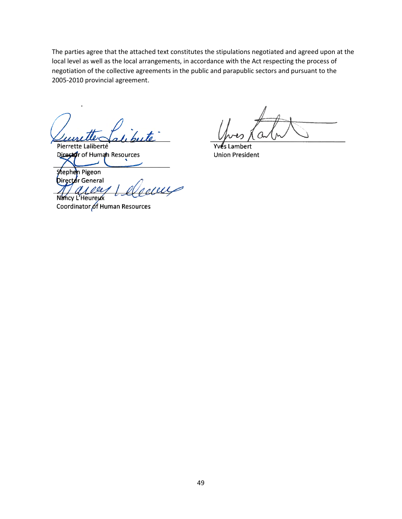The parties agree that the attached text constitutes the stipulations negotiated and agreed upon at the local level as well as the local arrangements, in accordance with the Act respecting the process of negotiation of the collective agreements in the public and parapublic sectors and pursuant to the 2005-2010 provincial agreement.

Pierrette Laliberté Director of Human Resources

hert **Union President** 

Stephen Pigeon **Director General** 1000

Nancy L'Heureux Coordinator of Human Resources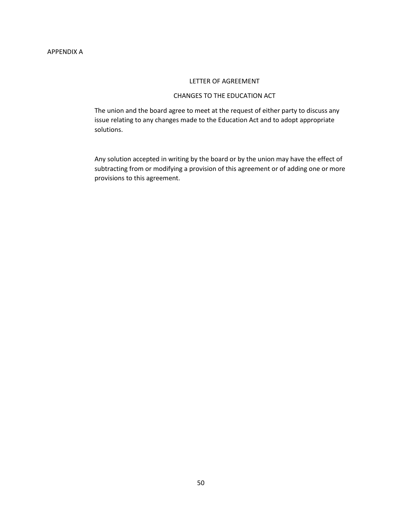#### LETTER OF AGREEMENT

## CHANGES TO THE EDUCATION ACT

<span id="page-49-0"></span>The union and the board agree to meet at the request of either party to discuss any issue relating to any changes made to the Education Act and to adopt appropriate solutions.

Any solution accepted in writing by the board or by the union may have the effect of subtracting from or modifying a provision of this agreement or of adding one or more provisions to this agreement.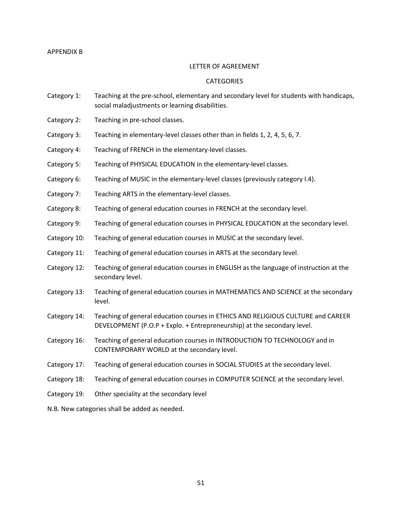### <span id="page-50-0"></span>APPENDIX B

### LETTER OF AGREEMENT

### **CATEGORIES**

- Category 1: Teaching at the pre-school, elementary and secondary level for students with handicaps, social maladjustments or learning disabilities.
- Category 2: Teaching in pre-school classes.
- Category 3: Teaching in elementary-level classes other than in fields 1, 2, 4, 5, 6, 7.
- Category 4: Teaching of FRENCH in the elementary-level classes.
- Category 5: Teaching of PHYSICAL EDUCATION in the elementary-level classes.
- Category 6: Teaching of MUSIC in the elementary-level classes (previously category I.4).
- Category 7: Teaching ARTS in the elementary-level classes.
- Category 8: Teaching of general education courses in FRENCH at the secondary level.
- Category 9: Teaching of general education courses in PHYSICAL EDUCATION at the secondary level.
- Category 10: Teaching of general education courses in MUSIC at the secondary level.
- Category 11: Teaching of general education courses in ARTS at the secondary level.
- Category 12: Teaching of general education courses in ENGLISH as the language of instruction at the secondary level.
- Category 13: Teaching of general education courses in MATHEMATICS AND SCIENCE at the secondary level.
- Category 14: Teaching of general education courses in ETHICS AND RELIGIOUS CULTURE and CAREER DEVELOPMENT (P.O.P + Explo. + Entrepreneurship) at the secondary level.
- Category 16: Teaching of general education courses in INTRODUCTION TO TECHNOLOGY and in CONTEMPORARY WORLD at the secondary level.
- Category 17: Teaching of general education courses in SOCIAL STUDIES at the secondary level.
- Category 18: Teaching of general education courses in COMPUTER SCIENCE at the secondary level.
- Category 19: Other speciality at the secondary level

N.B. New categories shall be added as needed.